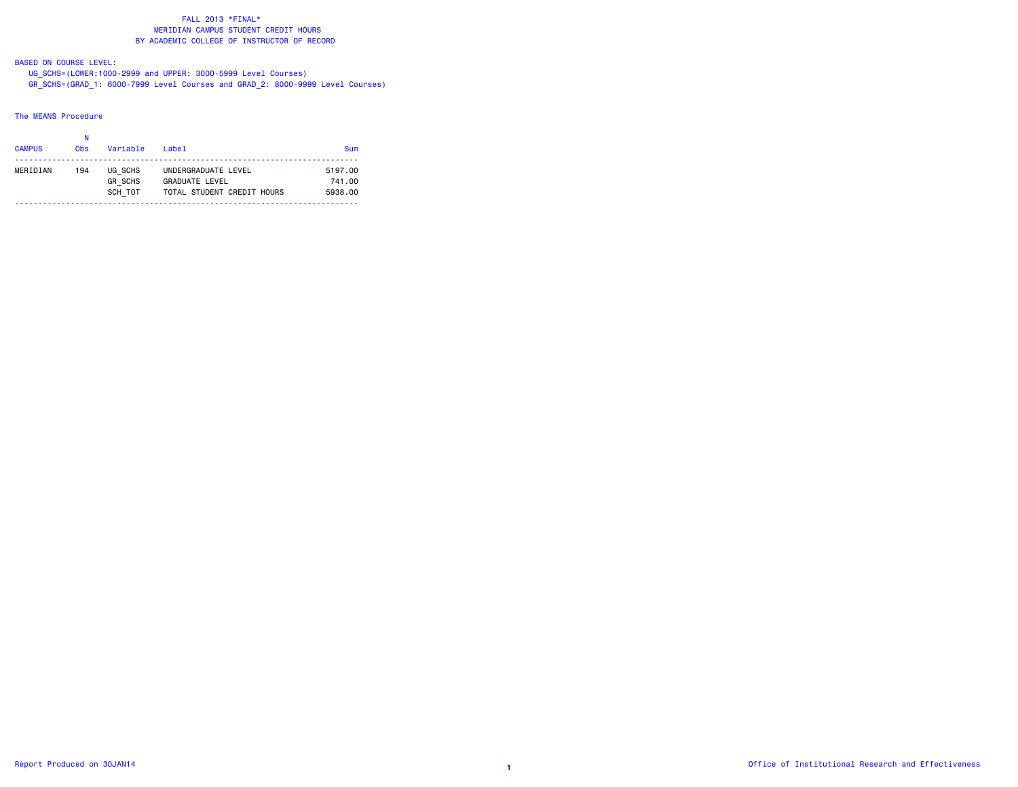# BASED ON COURSE LEVEL:

 UG\_SCHS=(LOWER:1000-2999 and UPPER: 3000-5999 Level Courses) GR\_SCHS=(GRAD\_1: 6000-7999 Level Courses and GRAD\_2: 8000-9999 Level Courses)

#### The MEANS Procedure

| <b>CAMPUS</b> | 0 <sub>bs</sub> | Variable                             | Label                                                                      | <b>Sum</b>                   |
|---------------|-----------------|--------------------------------------|----------------------------------------------------------------------------|------------------------------|
| MERIDIAN      | 194             | UG SCHS<br><b>GR SCHS</b><br>SCH TOT | UNDERGRADUATE LEVEL<br><b>GRADUATE LEVEL</b><br>TOTAL STUDENT CREDIT HOURS | 5197.00<br>741.00<br>5938.00 |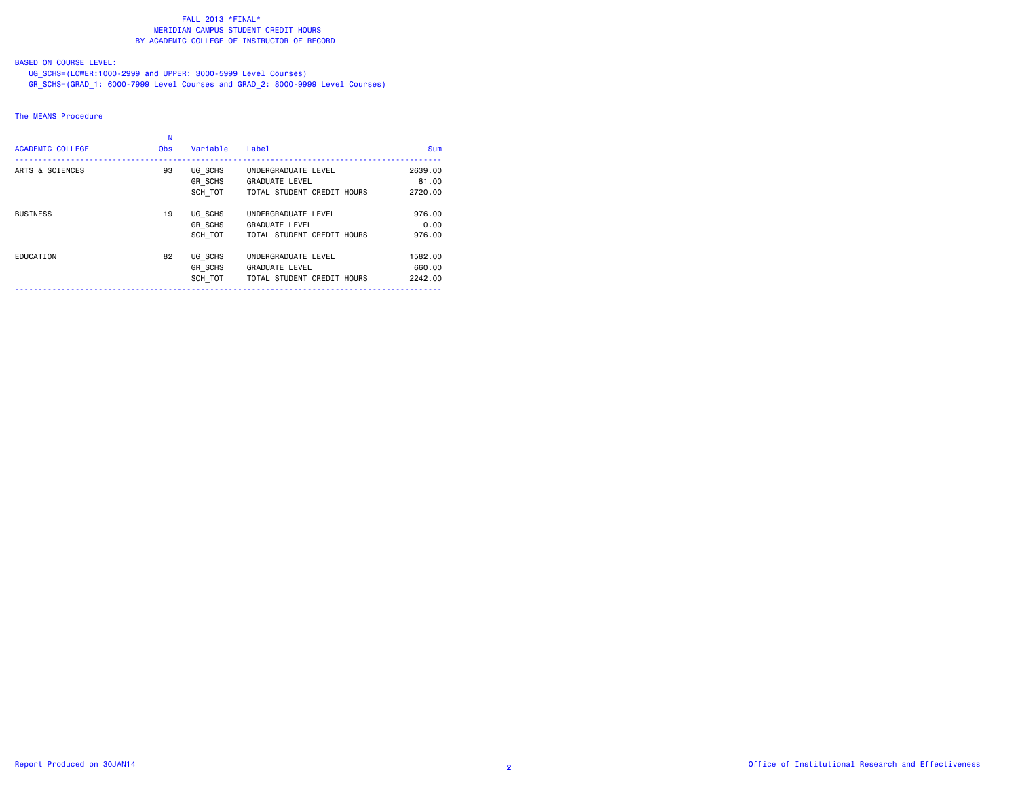# BASED ON COURSE LEVEL:

 UG\_SCHS=(LOWER:1000-2999 and UPPER: 3000-5999 Level Courses) GR\_SCHS=(GRAD\_1: 6000-7999 Level Courses and GRAD\_2: 8000-9999 Level Courses)

### The MEANS Procedure

| <b>ACADEMIC COLLEGE</b> | Ν<br><b>Obs</b> | Variable                             | Label                                                                      | <b>Sum</b>                   |
|-------------------------|-----------------|--------------------------------------|----------------------------------------------------------------------------|------------------------------|
| ARTS & SCIENCES         | 93              | UG SCHS<br>GR SCHS<br>SCH TOT        | UNDERGRADUATE LEVEL<br><b>GRADUATE LEVEL</b><br>TOTAL STUDENT CREDIT HOURS | 2639,00<br>81.00<br>2720.00  |
| <b>BUSINESS</b>         | 19              | UG SCHS<br><b>GR SCHS</b><br>SCH TOT | UNDERGRADUATE LEVEL<br><b>GRADUATE LEVEL</b><br>TOTAL STUDENT CREDIT HOURS | 976.00<br>0.00<br>976.00     |
| EDUCATION               | 82              | UG SCHS<br><b>GR SCHS</b><br>SCH TOT | UNDERGRADUATE LEVEL<br><b>GRADUATE LEVEL</b><br>TOTAL STUDENT CREDIT HOURS | 1582.00<br>660.00<br>2242.00 |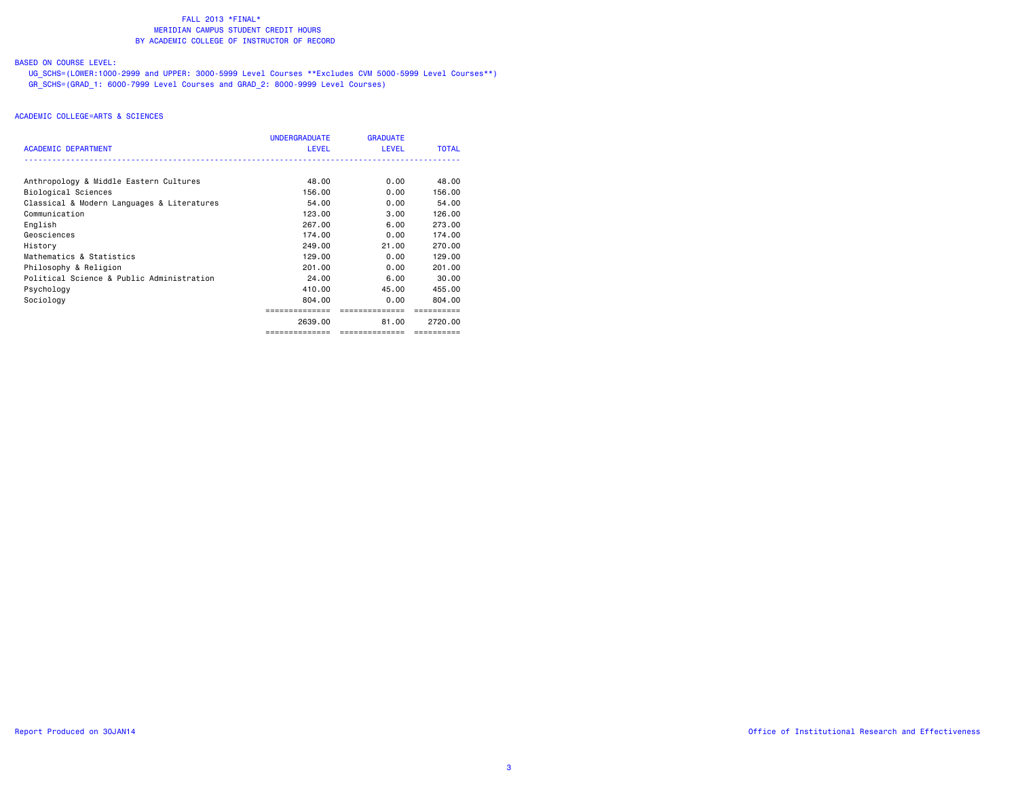# BASED ON COURSE LEVEL:

 UG\_SCHS=(LOWER:1000-2999 and UPPER: 3000-5999 Level Courses \*\*Excludes CVM 5000-5999 Level Courses\*\*) GR\_SCHS=(GRAD\_1: 6000-7999 Level Courses and GRAD\_2: 8000-9999 Level Courses)

|                                            | <b>UNDERGRADUATE</b> | <b>GRADUATE</b> |              |
|--------------------------------------------|----------------------|-----------------|--------------|
| <b>ACADEMIC DEPARTMENT</b>                 | <b>LEVEL</b>         | <b>LEVEL</b>    | <b>TOTAL</b> |
|                                            |                      |                 |              |
| Anthropology & Middle Eastern Cultures     | 48.00                | 0.00            | 48.00        |
| Biological Sciences                        | 156.00               | 0.00            | 156.00       |
| Classical & Modern Languages & Literatures | 54.00                | 0.00            | 54.00        |
| Communication                              | 123,00               | 3.00            | 126,00       |
| English                                    | 267.00               | 6.00            | 273.00       |
| Geosciences                                | 174.00               | 0.00            | 174.00       |
| History                                    | 249,00               | 21.00           | 270.00       |
| Mathematics & Statistics                   | 129,00               | 0.00            | 129,00       |
| Philosophy & Religion                      | 201.00               | 0.00            | 201.00       |
| Political Science & Public Administration  | 24.00                | 6.00            | 30.00        |
| Psychology                                 | 410.00               | 45.00           | 455.00       |
| Sociology                                  | 804,00               | 0.00            | 804.00       |
|                                            |                      | -----------     |              |
|                                            | 2639.00              | 81.00           | 2720.00      |
|                                            | ==============       | ==============  | ==========   |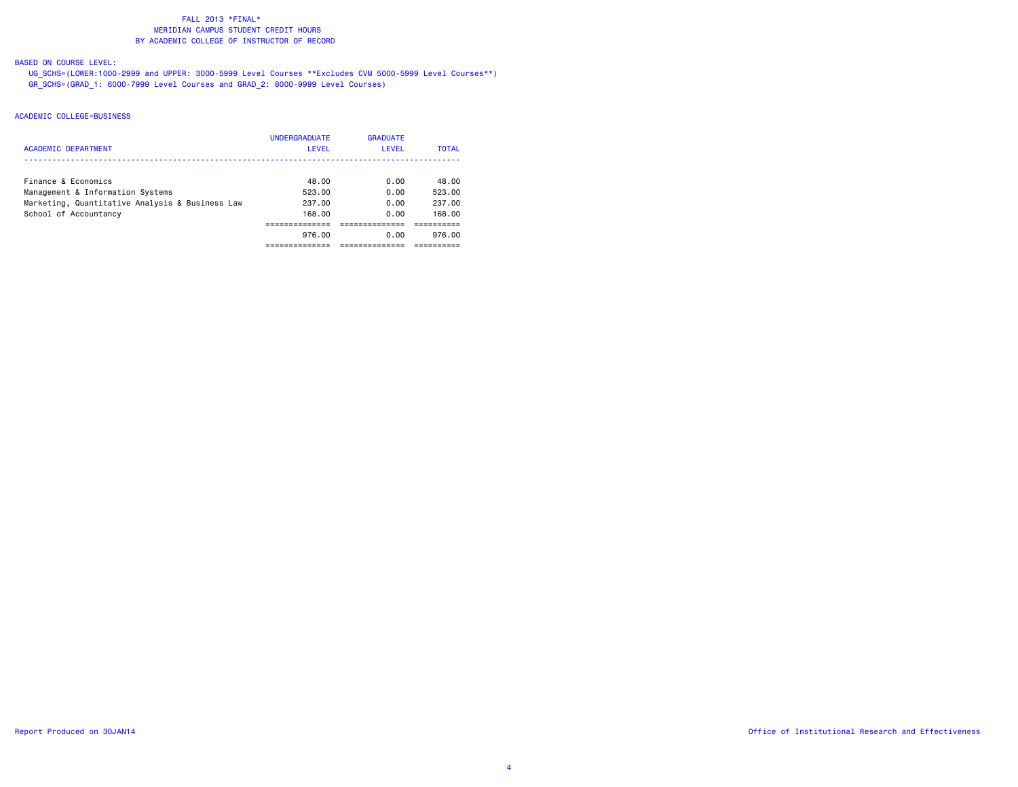# BASED ON COURSE LEVEL:

 UG\_SCHS=(LOWER:1000-2999 and UPPER: 3000-5999 Level Courses \*\*Excludes CVM 5000-5999 Level Courses\*\*) GR\_SCHS=(GRAD\_1: 6000-7999 Level Courses and GRAD\_2: 8000-9999 Level Courses)

|                                                 | <b>UNDERGRADUATE</b> | <b>GRADUATE</b> |              |
|-------------------------------------------------|----------------------|-----------------|--------------|
| <b>ACADEMIC DEPARTMENT</b>                      | <b>LEVEL</b>         | LEVEL           | <b>TOTAL</b> |
|                                                 |                      |                 |              |
| Finance & Economics                             | 48.00                | 0.00            | 48.00        |
| Management & Information Systems                | 523.00               | 0.00            | 523.00       |
| Marketing, Quantitative Analysis & Business Law | 237.00               | 0.00            | 237.00       |
| School of Accountancy                           | 168.00               | 0.00            | 168.00       |
|                                                 |                      |                 |              |
|                                                 | 976.00               | 0.00            | 976.00       |
|                                                 |                      |                 |              |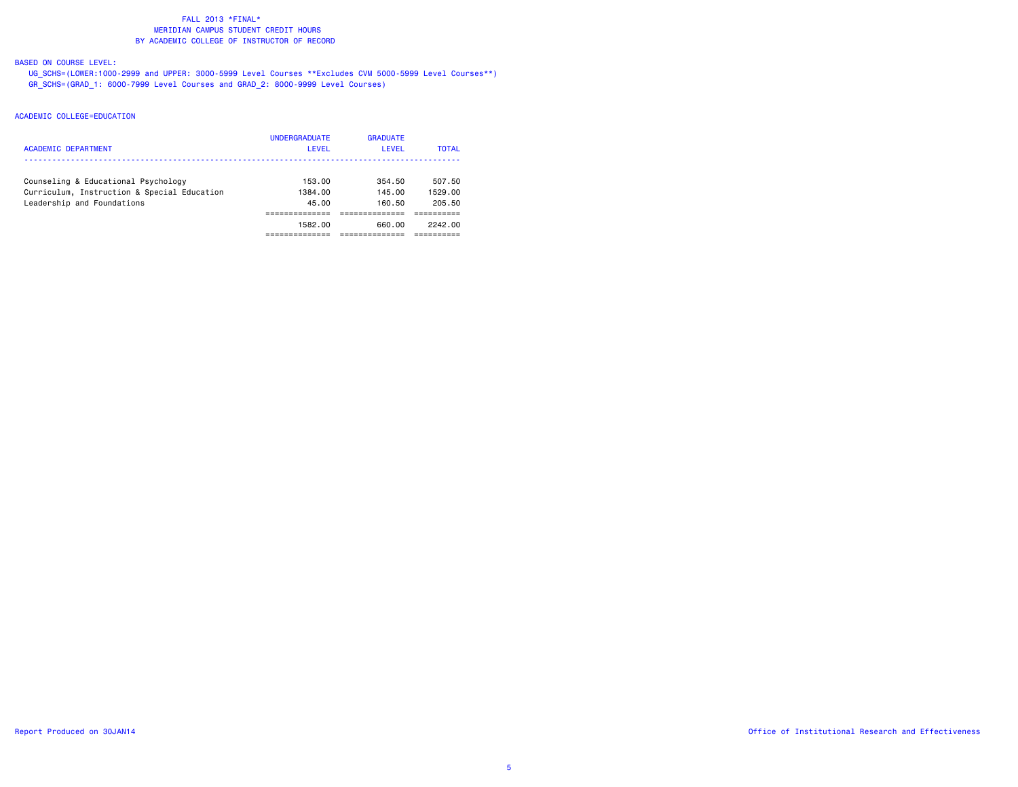# BASED ON COURSE LEVEL:

 UG\_SCHS=(LOWER:1000-2999 and UPPER: 3000-5999 Level Courses \*\*Excludes CVM 5000-5999 Level Courses\*\*) GR\_SCHS=(GRAD\_1: 6000-7999 Level Courses and GRAD\_2: 8000-9999 Level Courses)

|                                             | <b>UNDERGRADUATE</b> | <b>GRADUATE</b> |              |
|---------------------------------------------|----------------------|-----------------|--------------|
| ACADEMIC DEPARTMENT                         | LEVEL                | LEVEL           | <b>TOTAL</b> |
|                                             |                      |                 |              |
| Counseling & Educational Psychology         | 153.00               | 354.50          | 507.50       |
| Curriculum, Instruction & Special Education | 1384.00              | 145.00          | 1529.00      |
| Leadership and Foundations                  | 45.00                | 160.50          | 205.50       |
|                                             |                      |                 |              |
|                                             | 1582.00              | 660.00          | 2242.00      |
|                                             |                      |                 |              |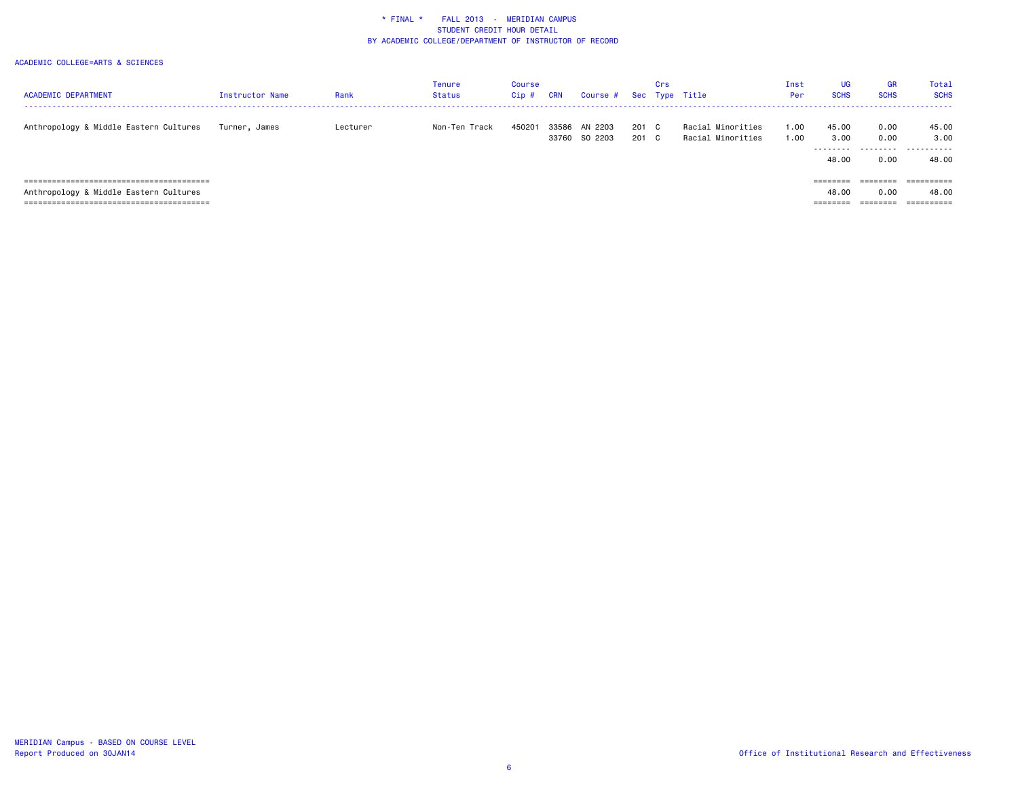| <b>ACADEMIC DEPARTMENT</b>             | <b>Instructor Name</b> | Rank     | <b>Tenure</b><br>Status | Course<br>Cip# | <b>CRN</b> | Course # Sec Type Title  |            | Crs      |                                        | Inst<br>Per | <b>UG</b><br><b>SCHS</b> | <b>GR</b><br><b>SCHS</b> | Tota:<br><b>SCHS</b> |
|----------------------------------------|------------------------|----------|-------------------------|----------------|------------|--------------------------|------------|----------|----------------------------------------|-------------|--------------------------|--------------------------|----------------------|
| Anthropology & Middle Eastern Cultures | Turner, James          | Lecturer | Non-Ten Track           | 450201         | 33586      | AN 2203<br>33760 SO 2203 | 201<br>201 | C.<br>C. | Racial Minorities<br>Racial Minorities | .00<br>00.1 | 45.00<br>3.00            | 0.00<br>0.00             | 45.00<br>3,00        |
|                                        |                        |          |                         |                |            |                          |            |          |                                        |             | ---------<br>48.00       | 0.00                     | .<br>48.00           |
|                                        |                        |          |                         |                |            |                          |            |          |                                        |             |                          | ========                 | ==========           |
| Anthropology & Middle Eastern Cultures |                        |          |                         |                |            |                          |            |          |                                        |             | 48.00                    | 0.00                     | 48.00                |
|                                        |                        |          |                         |                |            |                          |            |          |                                        |             | ---------<br>--------    | --------<br>--------     | ==========           |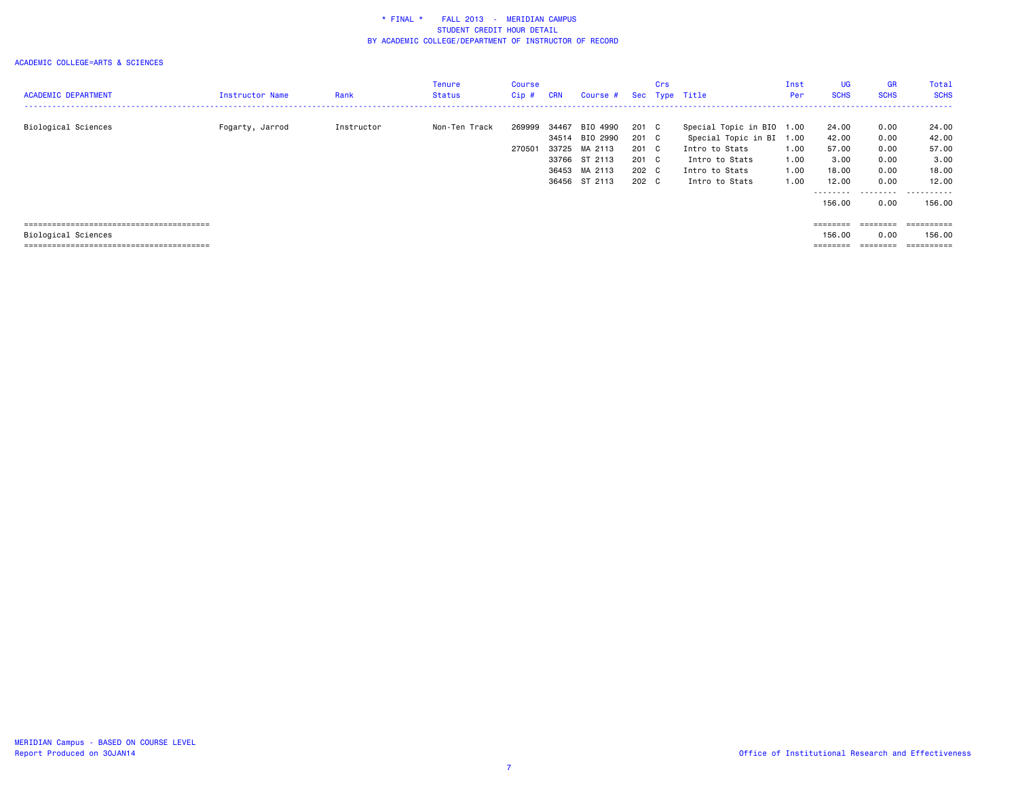|                            |                 |            | Tenure        | Course |            |               |       | Crs |                      | Inst | <b>UG</b>   | <b>GR</b>   | Total                 |
|----------------------------|-----------------|------------|---------------|--------|------------|---------------|-------|-----|----------------------|------|-------------|-------------|-----------------------|
| <b>ACADEMIC DEPARTMENT</b> | Instructor Name | Rank       | <b>Status</b> | Cip#   | <b>CRN</b> | Course #      |       |     | Sec Type Title       | Per  | <b>SCHS</b> | <b>SCHS</b> | <b>SCHS</b><br>------ |
|                            |                 |            |               |        |            |               |       |     |                      |      |             |             |                       |
| Biological Sciences        | Fogarty, Jarrod | Instructor | Non-Ten Track | 269999 | 34467      | BIO 4990      | 201 C |     | Special Topic in BIO | 1.00 | 24.00       | 0.00        | 24.00                 |
|                            |                 |            |               |        | 34514      | BIO 2990      | 201 C |     | Special Topic in BI  | 1.00 | 42.00       | 0.00        | 42.00                 |
|                            |                 |            |               | 270501 |            | 33725 MA 2113 | 201 C |     | Intro to Stats       | 1.00 | 57.00       | 0.00        | 57.00                 |
|                            |                 |            |               |        | 33766      | ST 2113       | 201 C |     | Intro to Stats       | 1.00 | 3.00        | 0.00        | 3.00                  |
|                            |                 |            |               |        |            | 36453 MA 2113 | 202 C |     | Intro to Stats       | 1.00 | 18,00       | 0.00        | 18.00                 |
|                            |                 |            |               |        |            | 36456 ST 2113 | 202 C |     | Intro to Stats       | 1.00 | 12.00       | 0.00        | 12.00                 |
|                            |                 |            |               |        |            |               |       |     |                      |      | ---------   | .           | .                     |
|                            |                 |            |               |        |            |               |       |     |                      |      | 156.00      | 0.00        | 156.00                |
|                            |                 |            |               |        |            |               |       |     |                      |      |             |             |                       |
|                            |                 |            |               |        |            |               |       |     |                      |      | ========    | ========    | -----------           |
| Biological Sciences        |                 |            |               |        |            |               |       |     |                      |      | 156.00      | 0.00        | 156.00                |
|                            |                 |            |               |        |            |               |       |     |                      |      | ========    | ========    | ==========            |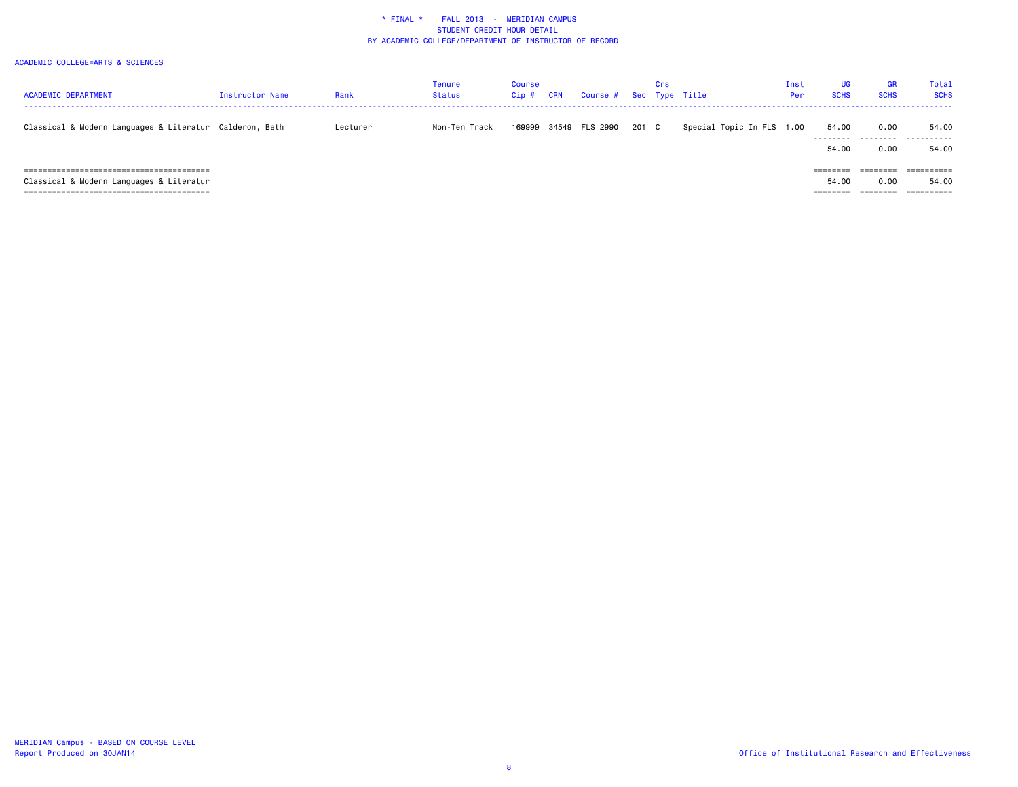| <b>ACADEMIC DEPARTMENT</b>                                                | <b>Instructor Name</b> | Rank     | Tenure<br><b>Status</b> | Course<br>$Cip$ # | <b>CRN</b> | Course # Sec Type Title |       | Crs |                           | Inst<br>Per | <b>UG</b><br><b>SCHS</b>              | <b>GR</b><br><b>SCHS</b> | Total<br><b>SCHS</b>              |
|---------------------------------------------------------------------------|------------------------|----------|-------------------------|-------------------|------------|-------------------------|-------|-----|---------------------------|-------------|---------------------------------------|--------------------------|-----------------------------------|
| Classical & Modern Languages & Literatur Calderon, Beth                   |                        | Lecturer | Non-Ten Track           | 169999            |            | 34549 FLS 2990          | 201 C |     | Special Topic In FLS 1.00 |             | 54.00<br>---------<br>54.00           | 0.00<br>.<br>0.00        | 54.00<br>.<br>54.00               |
| Classical & Modern Languages & Literatur<br>----------------------------- |                        |          |                         |                   |            |                         |       |     |                           |             | $=$ = = = = = = =<br>54.00<br>======= | ========<br>0.00         | ==========<br>54.00<br>========== |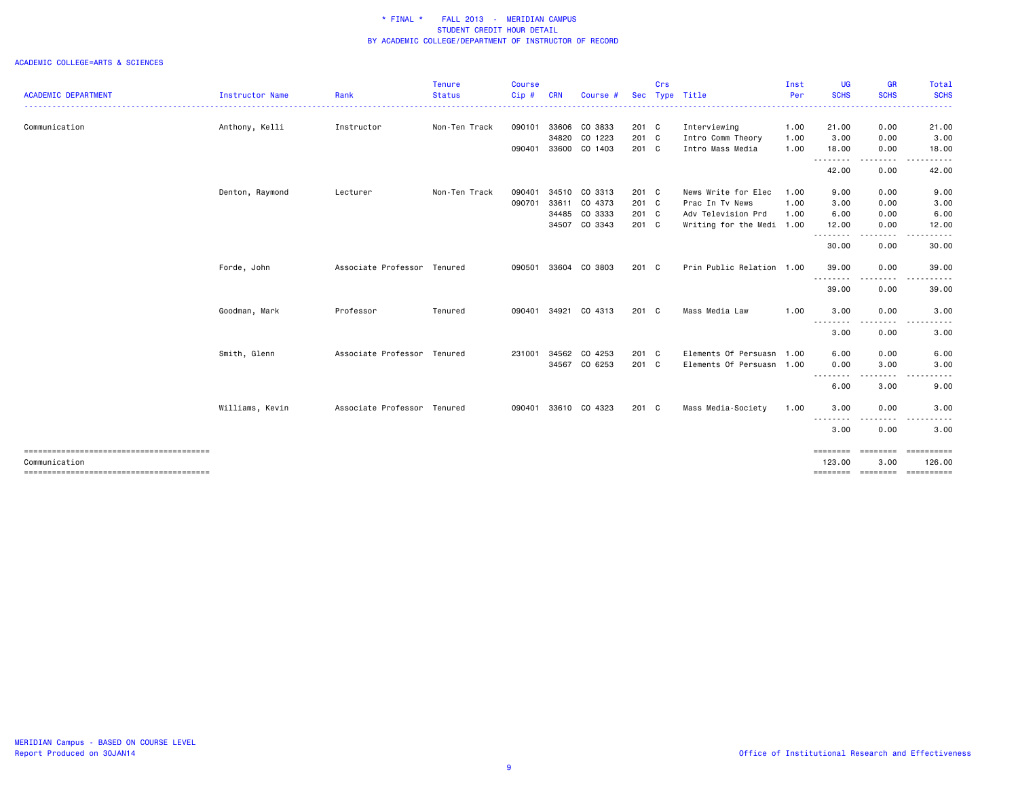|                            |                 |                             | <b>Tenure</b> | <b>Course</b> |            |               |            | Crs |                           | Inst | UG                 | <b>GR</b>             | Total                |
|----------------------------|-----------------|-----------------------------|---------------|---------------|------------|---------------|------------|-----|---------------------------|------|--------------------|-----------------------|----------------------|
| <b>ACADEMIC DEPARTMENT</b> | Instructor Name | Rank                        | <b>Status</b> | $Cip$ #       | <b>CRN</b> | Course #      | <b>Sec</b> |     | Type Title                | Per  | <b>SCHS</b>        | <b>SCHS</b>           | <b>SCHS</b>          |
| Communication              | Anthony, Kelli  | Instructor                  | Non-Ten Track | 090101        | 33606      | CO 3833       | 201 C      |     | Interviewing              | 1.00 | 21.00              | 0.00                  | 21.00                |
|                            |                 |                             |               |               | 34820      | CO 1223       | 201 C      |     | Intro Comm Theory         | 1.00 | 3.00               | 0.00                  | 3.00                 |
|                            |                 |                             |               | 090401        |            | 33600 CO 1403 | 201 C      |     | Intro Mass Media          | 1.00 | 18.00<br>.         | 0.00<br>$\frac{1}{2}$ | 18.00                |
|                            |                 |                             |               |               |            |               |            |     |                           |      | 42.00              | 0.00                  | 42.00                |
|                            | Denton, Raymond | Lecturer                    | Non-Ten Track | 090401        |            | 34510 CO 3313 | 201 C      |     | News Write for Elec       | 1.00 | 9.00               | 0.00                  | 9.00                 |
|                            |                 |                             |               | 090701        | 33611      | CO 4373       | 201 C      |     | Prac In Tv News           | 1.00 | 3.00               | 0.00                  | 3.00                 |
|                            |                 |                             |               |               |            | 34485 CO 3333 | 201 C      |     | Adv Television Prd        | 1.00 | 6.00               | 0.00                  | 6.00                 |
|                            |                 |                             |               |               |            | 34507 CO 3343 | 201 C      |     | Writing for the Medi 1.00 |      | 12.00<br>.         | 0.00<br>----          | 12.00                |
|                            |                 |                             |               |               |            |               |            |     |                           |      | 30.00              | 0.00                  | 30.00                |
|                            | Forde, John     | Associate Professor Tenured |               | 090501        | 33604      | CO 3803       | 201 C      |     | Prin Public Relation 1.00 |      | 39.00              | 0.00                  | 39.00                |
|                            |                 |                             |               |               |            |               |            |     |                           |      | .<br>39.00         | - - - -<br>0.00       | 39.00                |
|                            | Goodman, Mark   | Professor                   | Tenured       | 090401        | 34921      | CO 4313       | 201 C      |     | Mass Media Law            | 1.00 | 3.00               | 0.00                  | 3.00                 |
|                            |                 |                             |               |               |            |               |            |     |                           |      | <u>.</u><br>3.00   | 0.00                  | 3.00                 |
|                            | Smith, Glenn    | Associate Professor Tenured |               | 231001        | 34562      | CO 4253       | 201 C      |     | Elements Of Persuasn 1.00 |      | 6.00               | 0.00                  | 6.00                 |
|                            |                 |                             |               |               | 34567      | CO 6253       | $201$ C    |     | Elements Of Persuasn 1.00 |      | 0.00<br>--------   | 3.00<br>$\cdots$      | 3.00                 |
|                            |                 |                             |               |               |            |               |            |     |                           |      | 6.00               | 3.00                  | 9.00                 |
|                            | Williams, Kevin | Associate Professor Tenured |               | 090401        |            | 33610 CO 4323 | 201 C      |     | Mass Media-Society        | 1.00 | 3.00               | 0.00                  | 3.00                 |
|                            |                 |                             |               |               |            |               |            |     |                           |      | --------<br>3.00   | .<br>0.00             | 3.00                 |
| Communication              |                 |                             |               |               |            |               |            |     |                           |      | ========<br>123.00 | ========<br>3.00      | ==========<br>126.00 |
|                            |                 |                             |               |               |            |               |            |     |                           |      | ========           | ========              | ==========           |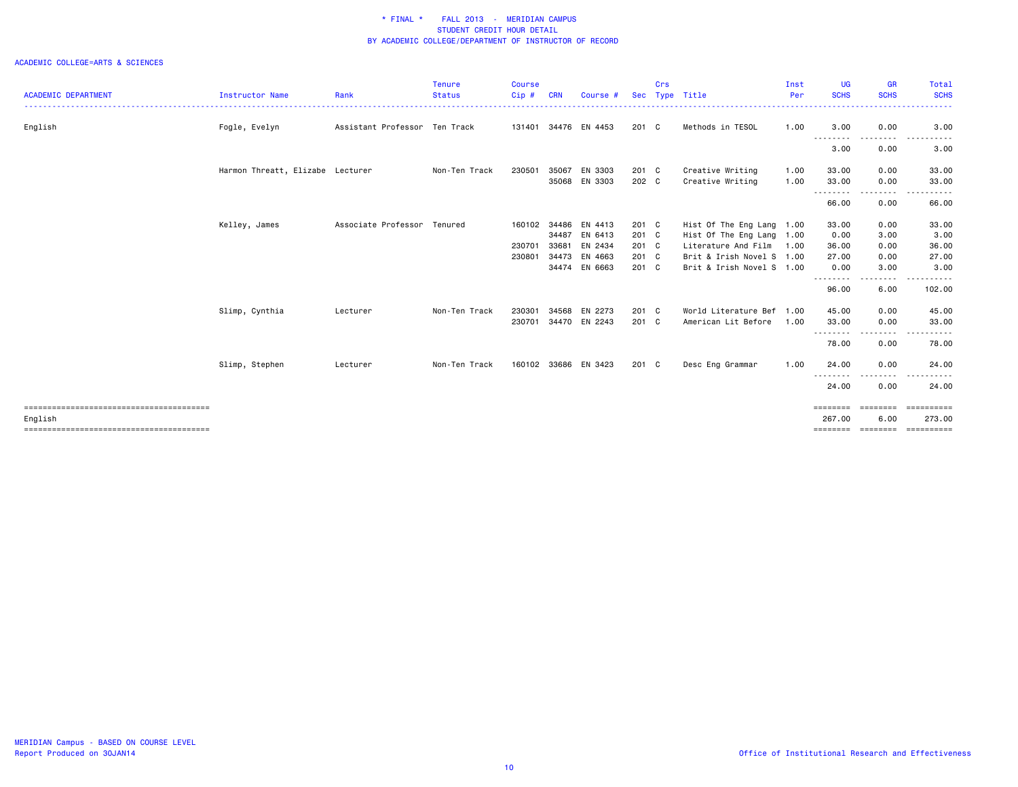|                            |                                  |                               | <b>Tenure</b> | <b>Course</b> |            |                      |            | Crs |                           | Inst | UG                 | <b>GR</b>                                                                                                                         | Total                                                                                                                                                         |
|----------------------------|----------------------------------|-------------------------------|---------------|---------------|------------|----------------------|------------|-----|---------------------------|------|--------------------|-----------------------------------------------------------------------------------------------------------------------------------|---------------------------------------------------------------------------------------------------------------------------------------------------------------|
| <b>ACADEMIC DEPARTMENT</b> | <b>Instructor Name</b>           | Rank                          | <b>Status</b> | $Cip$ #       | <b>CRN</b> | Course #             | <b>Sec</b> |     | Type Title                | Per  | <b>SCHS</b>        | <b>SCHS</b>                                                                                                                       | <b>SCHS</b>                                                                                                                                                   |
| English                    | Fogle, Evelyn                    | Assistant Professor Ten Track |               | 131401        |            | 34476 EN 4453        | 201 C      |     | Methods in TESOL          | 1.00 | 3.00               | 0.00                                                                                                                              | 3.00                                                                                                                                                          |
|                            |                                  |                               |               |               |            |                      |            |     |                           |      | 3.00               | 0.00                                                                                                                              | 3.00                                                                                                                                                          |
|                            | Harmon Threatt, Elizabe Lecturer |                               | Non-Ten Track | 230501        | 35067      | EN 3303              | 201 C      |     | Creative Writing          | 1.00 | 33.00              | 0.00                                                                                                                              | 33.00                                                                                                                                                         |
|                            |                                  |                               |               |               | 35068      | EN 3303              | 202 C      |     | Creative Writing          | 1.00 | 33.00<br>.         | 0.00<br>$- - - -$                                                                                                                 | 33.00                                                                                                                                                         |
|                            |                                  |                               |               |               |            |                      |            |     |                           |      | 66.00              | 0.00                                                                                                                              | 66.00                                                                                                                                                         |
|                            | Kelley, James                    | Associate Professor Tenured   |               | 160102        | 34486      | EN 4413              | 201 C      |     | Hist Of The Eng Lang 1.00 |      | 33.00              | 0.00                                                                                                                              | 33.00                                                                                                                                                         |
|                            |                                  |                               |               |               | 34487      | EN 6413              | 201 C      |     | Hist Of The Eng Lang 1.00 |      | 0.00               | 3.00                                                                                                                              | 3.00                                                                                                                                                          |
|                            |                                  |                               |               | 230701        | 33681      | EN 2434              | 201 C      |     | Literature And Film       | 1.00 | 36.00              | 0.00                                                                                                                              | 36.00                                                                                                                                                         |
|                            |                                  |                               |               | 230801        | 34473      | EN 4663              | 201 C      |     | Brit & Irish Novel S 1.00 |      | 27.00              | 0.00                                                                                                                              | 27.00                                                                                                                                                         |
|                            |                                  |                               |               |               |            | 34474 EN 6663        | 201 C      |     | Brit & Irish Novel S 1.00 |      | 0.00<br>.          | 3.00<br>$\frac{1}{2} \left( \frac{1}{2} \right) \left( \frac{1}{2} \right) \left( \frac{1}{2} \right) \left( \frac{1}{2} \right)$ | 3.00                                                                                                                                                          |
|                            |                                  |                               |               |               |            |                      |            |     |                           |      | 96.00              | 6.00                                                                                                                              | 102.00                                                                                                                                                        |
|                            | Slimp, Cynthia                   | Lecturer                      | Non-Ten Track | 230301        | 34568      | EN 2273              | 201 C      |     | World Literature Bef 1.00 |      | 45.00              | 0.00                                                                                                                              | 45.00                                                                                                                                                         |
|                            |                                  |                               |               | 230701        |            | 34470 EN 2243        | 201 C      |     | American Lit Before       | 1.00 | 33.00<br>--------  | 0.00<br>$\frac{1}{2}$                                                                                                             | 33.00<br>$\frac{1}{2} \left( \frac{1}{2} \right) \left( \frac{1}{2} \right) \left( \frac{1}{2} \right) \left( \frac{1}{2} \right) \left( \frac{1}{2} \right)$ |
|                            |                                  |                               |               |               |            |                      |            |     |                           |      | 78.00              | 0.00                                                                                                                              | 78.00                                                                                                                                                         |
|                            | Slimp, Stephen                   | Lecturer                      | Non-Ten Track |               |            | 160102 33686 EN 3423 | 201 C      |     | Desc Eng Grammar          | 1.00 | 24.00              | 0.00                                                                                                                              | 24.00                                                                                                                                                         |
|                            |                                  |                               |               |               |            |                      |            |     |                           |      | 24.00              | .<br>0.00                                                                                                                         | 24.00                                                                                                                                                         |
|                            |                                  |                               |               |               |            |                      |            |     |                           |      | ========           | <b>ESSESSED</b>                                                                                                                   | ==========                                                                                                                                                    |
| English                    |                                  |                               |               |               |            |                      |            |     |                           |      | 267.00<br>======== | 6.00<br><b>ESSESSED</b>                                                                                                           | 273.00<br>ESSESSESSE                                                                                                                                          |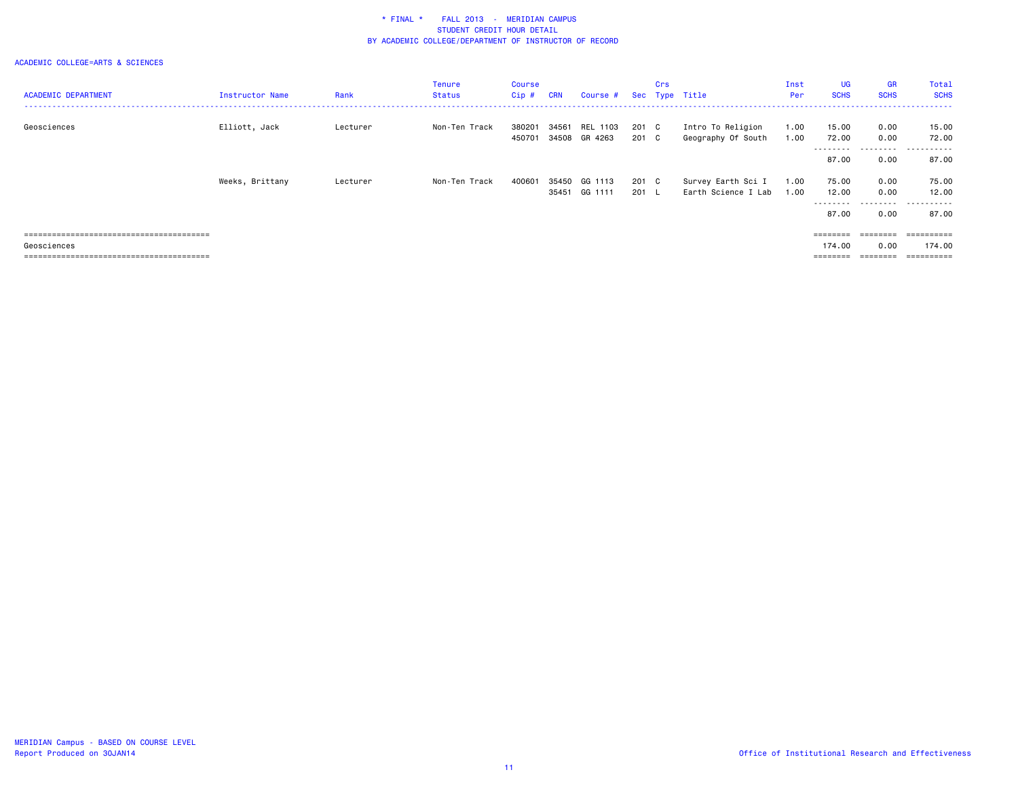| <b>ACADEMIC DEPARTMENT</b> | <b>Instructor Name</b> | Rank     | Tenure<br>Status | Course<br>$Cip$ # | <b>CRN</b>     | Course #                  |                        | Crs | Sec Type Title                            | Inst<br>Per  | <b>UG</b><br><b>SCHS</b>             | GR<br><b>SCHS</b>         | Total<br><b>SCHS</b>                      |
|----------------------------|------------------------|----------|------------------|-------------------|----------------|---------------------------|------------------------|-----|-------------------------------------------|--------------|--------------------------------------|---------------------------|-------------------------------------------|
| Geosciences                | Elliott, Jack          | Lecturer | Non-Ten Track    | 380201<br>450701  | 34561          | REL 1103<br>34508 GR 4263 | 201 C<br>201 C         |     | Intro To Religion<br>Geography Of South   | 1.00<br>1.00 | 15.00<br>72.00<br>---------          | 0.00<br>0.00<br>.         | 15.00<br>72.00<br>.                       |
|                            |                        |          |                  |                   |                |                           |                        |     |                                           |              | 87.00                                | 0.00                      | 87.00                                     |
|                            | Weeks, Brittany        | Lecturer | Non-Ten Track    | 400601            | 35450<br>35451 | GG 1113<br>GG 1111        | 201 C<br>$201 \quad L$ |     | Survey Earth Sci I<br>Earth Science I Lab | 1.00<br>1.00 | 75.00<br>12.00<br>---------<br>87.00 | 0.00<br>0.00<br>.<br>0.00 | 75.00<br>12.00<br>------<br>$ -$<br>87.00 |
|                            |                        |          |                  |                   |                |                           |                        |     |                                           |              |                                      |                           | ==========                                |
| Geosciences                |                        |          |                  |                   |                |                           |                        |     |                                           |              | 174.00                               | 0.00                      | 174.00                                    |
|                            |                        |          |                  |                   |                |                           |                        |     |                                           |              | ========                             | ---------                 | ==========                                |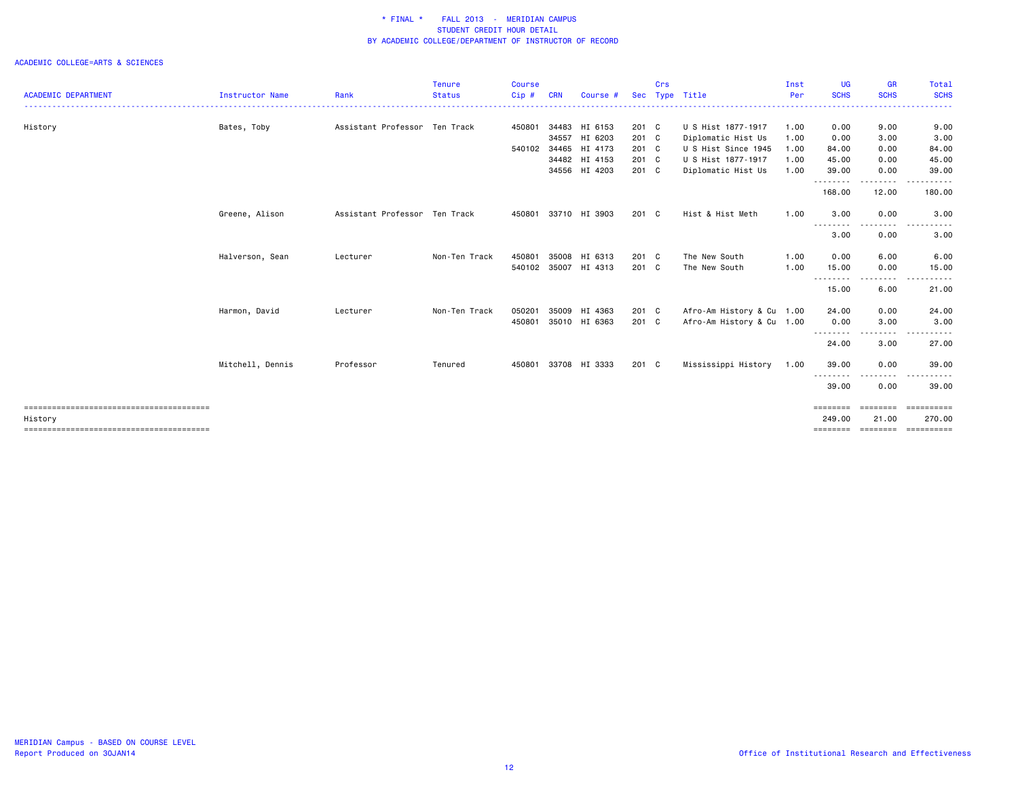|                            |                        |                               | <b>Tenure</b> | <b>Course</b> |            |                      |            | Crs |                           | Inst | <b>UG</b>                  | <b>GR</b>         | Total                      |
|----------------------------|------------------------|-------------------------------|---------------|---------------|------------|----------------------|------------|-----|---------------------------|------|----------------------------|-------------------|----------------------------|
| <b>ACADEMIC DEPARTMENT</b> | <b>Instructor Name</b> | Rank                          | <b>Status</b> | Cip#          | <b>CRN</b> | Course #             | <b>Sec</b> |     | Type Title                | Per  | <b>SCHS</b>                | <b>SCHS</b>       | <b>SCHS</b>                |
| History                    | Bates, Toby            | Assistant Professor Ten Track |               | 450801        |            | 34483 HI 6153        | 201 C      |     | U S Hist 1877-1917        | 1.00 | 0.00                       | 9.00              | 9.00                       |
|                            |                        |                               |               |               |            | 34557 HI 6203        | 201 C      |     | Diplomatic Hist Us        | 1.00 | 0.00                       | 3.00              | 3.00                       |
|                            |                        |                               |               | 540102        |            | 34465 HI 4173        | 201 C      |     | U S Hist Since 1945       | 1.00 | 84.00                      | 0.00              | 84.00                      |
|                            |                        |                               |               |               |            | 34482 HI 4153        | 201 C      |     | U S Hist 1877-1917        | 1.00 | 45.00                      | 0.00              | 45.00                      |
|                            |                        |                               |               |               |            | 34556 HI 4203        | 201 C      |     | Diplomatic Hist Us        | 1.00 | 39.00<br>--------          | 0.00<br>--------  | 39.00<br>------            |
|                            |                        |                               |               |               |            |                      |            |     |                           |      | 168.00                     | 12.00             | 180.00                     |
|                            | Greene, Alison         | Assistant Professor Ten Track |               | 450801        |            | 33710 HI 3903        | 201 C      |     | Hist & Hist Meth          | 1.00 | 3.00                       | 0.00              | 3.00                       |
|                            |                        |                               |               |               |            |                      |            |     |                           |      | <u>.</u><br>3.00           | .<br>0.00         | 3.00                       |
|                            | Halverson, Sean        | Lecturer                      | Non-Ten Track | 450801        | 35008      | HI 6313              | 201 C      |     | The New South             | 1.00 | 0.00                       | 6.00              | 6.00                       |
|                            |                        |                               |               |               |            | 540102 35007 HI 4313 | 201 C      |     | The New South             | 1.00 | 15.00                      | 0.00              | 15.00                      |
|                            |                        |                               |               |               |            |                      |            |     |                           |      | - - - - - - - - -<br>15.00 | --------<br>6.00  | ------<br>$- - -$<br>21.00 |
|                            | Harmon, David          | Lecturer                      | Non-Ten Track | 050201        |            | 35009 HI 4363        | 201 C      |     | Afro-Am History & Cu 1.00 |      | 24.00                      | 0.00              | 24.00                      |
|                            |                        |                               |               | 450801        |            | 35010 HI 6363        | 201 C      |     | Afro-Am History & Cu 1.00 |      | 0.00                       | 3.00              | 3.00                       |
|                            |                        |                               |               |               |            |                      |            |     |                           |      | --------<br>24.00          | .<br>3.00         | 27.00                      |
|                            | Mitchell, Dennis       | Professor                     | Tenured       | 450801        |            | 33708 HI 3333        | 201 C      |     | Mississippi History       | 1.00 | 39.00                      | 0.00              | 39.00                      |
|                            |                        |                               |               |               |            |                      |            |     |                           |      | --------<br>39.00          | .<br>0.00         | 39.00                      |
| History                    |                        |                               |               |               |            |                      |            |     |                           |      | ========<br>249.00         | ========<br>21.00 | ==========<br>270.00       |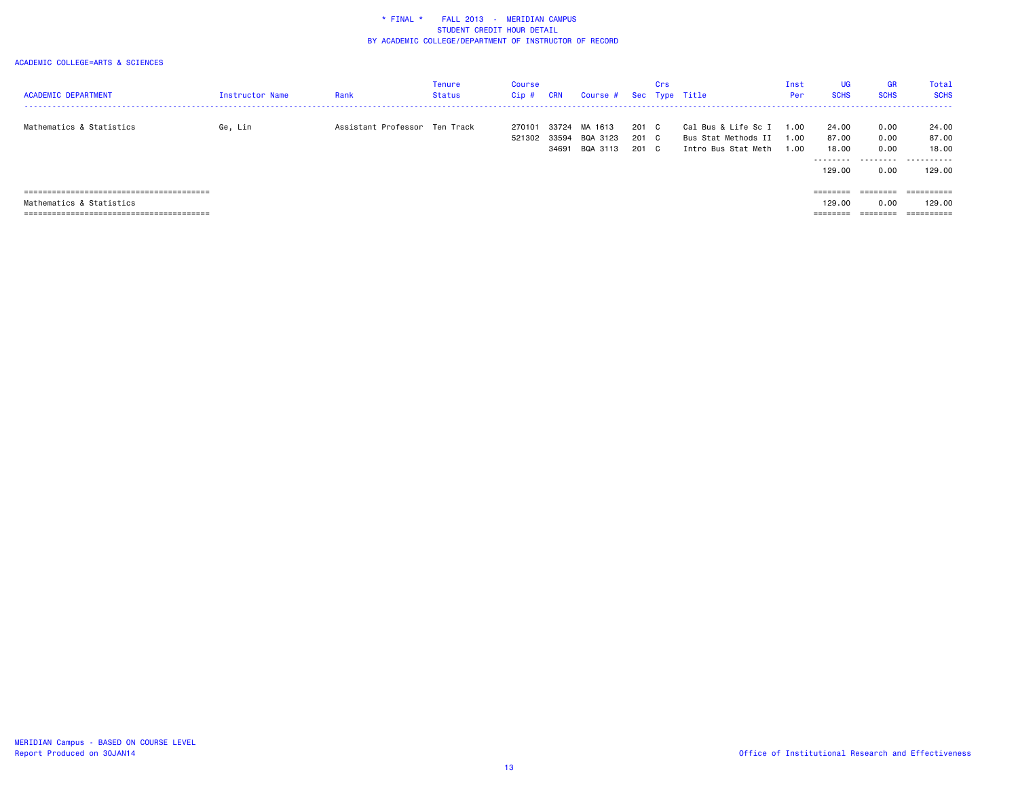| <b>ACADEMIC DEPARTMENT</b> | Instructor Name | Rank                          | Tenure<br>Status | Course<br>Cip#   | <b>CRN</b>              | Course #                        |                   | Crs                      | Sec Type Title                                                    | Inst<br>Per        | <b>UG</b><br><b>SCHS</b> | <b>GR</b><br><b>SCHS</b> | Total<br><b>SCHS</b>    |
|----------------------------|-----------------|-------------------------------|------------------|------------------|-------------------------|---------------------------------|-------------------|--------------------------|-------------------------------------------------------------------|--------------------|--------------------------|--------------------------|-------------------------|
| Mathematics & Statistics   | Ge, Lin         | Assistant Professor Ten Track |                  | 270101<br>521302 | 33724<br>33594<br>34691 | MA 1613<br>BQA 3123<br>BQA 3113 | 201<br>201<br>201 | C.<br>$\mathbf{C}$<br>C. | Cal Bus & Life Sc I<br>Bus Stat Methods II<br>Intro Bus Stat Meth | 1.00<br>.00<br>.00 | 24.00<br>87.00<br>18.00  | 0.00<br>0.00<br>0.00     | 24.00<br>87.00<br>18.00 |
|                            |                 |                               |                  |                  |                         |                                 |                   |                          |                                                                   |                    | .<br>129,00              | .<br>0.00                | .<br>129.00             |
|                            |                 |                               |                  |                  |                         |                                 |                   |                          |                                                                   |                    | ========                 | ========                 | ==========              |
| Mathematics & Statistics   |                 |                               |                  |                  |                         |                                 |                   |                          |                                                                   |                    | 129,00                   | 0.00                     | 129.00                  |
|                            |                 |                               |                  |                  |                         |                                 |                   |                          |                                                                   |                    | --------                 |                          | ==========              |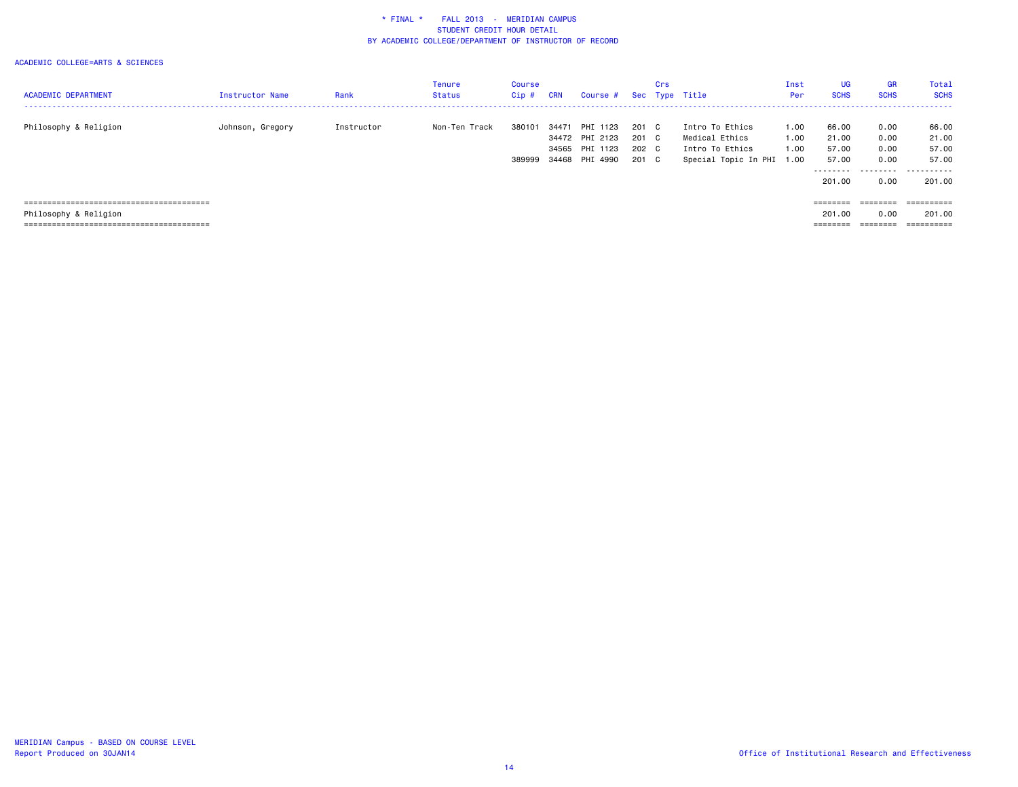| <b>ACADEMIC DEPARTMENT</b> | Instructor Name  | Rank       | Tenure<br><b>Status</b> | Course<br>Cip# | <b>CRN</b> | Course #       |       | Crs | Sec Type Title            | Inst<br>Per | UG<br><b>SCHS</b>                                                       | <b>GR</b><br><b>SCHS</b> | Total<br><b>SCHS</b>           |
|----------------------------|------------------|------------|-------------------------|----------------|------------|----------------|-------|-----|---------------------------|-------------|-------------------------------------------------------------------------|--------------------------|--------------------------------|
|                            |                  |            |                         |                |            |                |       |     |                           |             |                                                                         |                          | ------------------------------ |
| Philosophy & Religion      | Johnson, Gregory | Instructor | Non-Ten Track           | 380101         | 34471      | PHI 1123       | 201   | C.  | Intro To Ethics           | 1.00        | 66.00                                                                   | 0.00                     | 66.00                          |
|                            |                  |            |                         |                |            | 34472 PHI 2123 | 201 C |     | Medical Ethics            | 1.00        | 21.00                                                                   | 0.00                     | 21.00                          |
|                            |                  |            |                         |                |            | 34565 PHI 1123 | 202 C |     | Intro To Ethics           | 1.00        | 57.00                                                                   | 0.00                     | 57.00                          |
|                            |                  |            |                         | 389999         |            | 34468 PHI 4990 | 201 C |     | Special Topic In PHI 1.00 |             | 57.00                                                                   | 0.00                     | 57.00                          |
|                            |                  |            |                         |                |            |                |       |     |                           |             | .                                                                       | .                        | .                              |
|                            |                  |            |                         |                |            |                |       |     |                           |             | 201.00                                                                  | 0.00                     | 201.00                         |
|                            |                  |            |                         |                |            |                |       |     |                           |             |                                                                         |                          |                                |
|                            |                  |            |                         |                |            |                |       |     |                           |             | $\qquad \qquad \equiv \equiv \equiv \equiv \equiv \equiv \equiv \equiv$ | $=$ = = = = = = =        |                                |
| Philosophy & Religion      |                  |            |                         |                |            |                |       |     |                           |             | 201,00                                                                  | 0.00                     | 201.00                         |
|                            |                  |            |                         |                |            |                |       |     |                           |             | --------<br>--------                                                    | --------<br>--------     | ----------<br>----------       |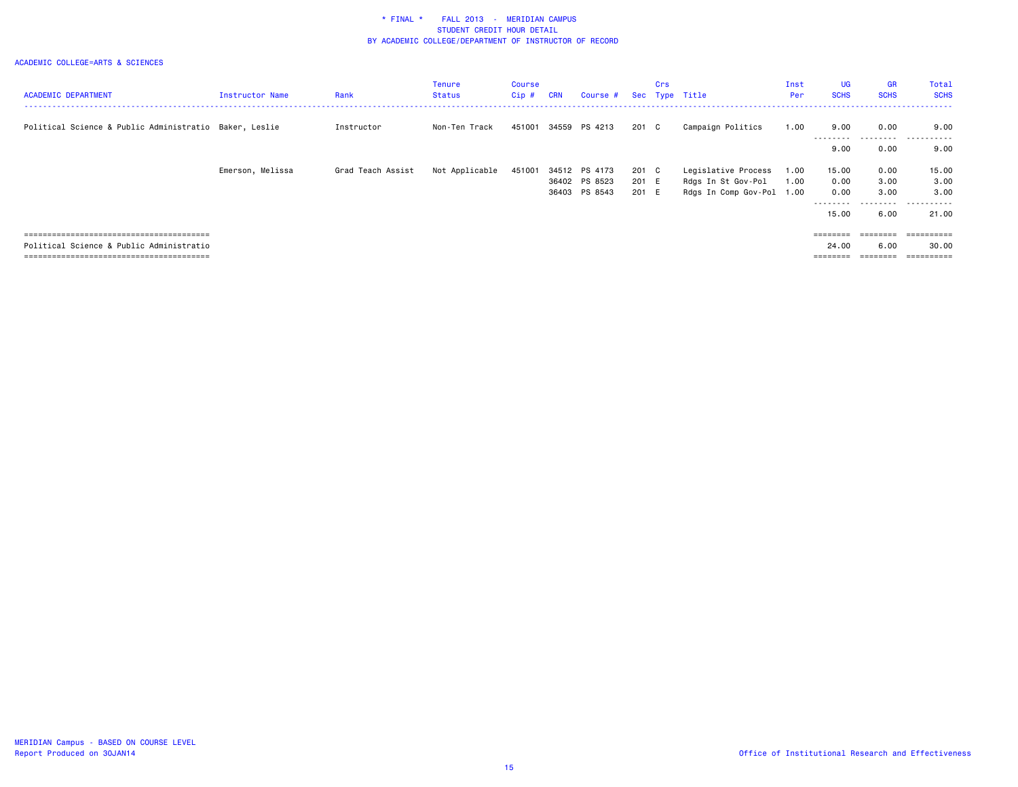|                                                        |                  |                   | <b>Tenure</b>  | Course |            |               |       | Crs |                           | Inst | <b>UG</b>   | <b>GR</b>         | Total                  |
|--------------------------------------------------------|------------------|-------------------|----------------|--------|------------|---------------|-------|-----|---------------------------|------|-------------|-------------------|------------------------|
| <b>ACADEMIC DEPARTMENT</b>                             | Instructor Name  | Rank              | <b>Status</b>  | Cip#   | <b>CRN</b> | Course #      |       |     | Sec Type Title            | Per  | <b>SCHS</b> | <b>SCHS</b>       | <b>SCHS</b>            |
|                                                        |                  |                   |                |        |            |               |       |     |                           |      |             |                   |                        |
| Political Science & Public Administratio Baker, Leslie |                  | Instructor        | Non-Ten Track  | 451001 |            | 34559 PS 4213 | 201 C |     | Campaign Politics         | 1.00 | 9.00        | 0.00<br>--------- | 9.00<br>$ -$<br>------ |
|                                                        |                  |                   |                |        |            |               |       |     |                           |      | 9.00        | 0.00              | 9.00                   |
|                                                        | Emerson, Melissa | Grad Teach Assist | Not Applicable | 451001 |            | 34512 PS 4173 | 201 C |     | Legislative Process       | 1.00 | 15.00       | 0.00              | 15.00                  |
|                                                        |                  |                   |                |        |            | 36402 PS 8523 | 201 E |     | Rdgs In St Gov-Pol        | 1.00 | 0.00        | 3.00              | 3.00                   |
|                                                        |                  |                   |                |        | 36403      | PS 8543       | 201 E |     | Rdgs In Comp Gov-Pol 1.00 |      | 0.00        | 3.00              | 3.00                   |
|                                                        |                  |                   |                |        |            |               |       |     |                           |      |             |                   |                        |
|                                                        |                  |                   |                |        |            |               |       |     |                           |      | 15.00       | 6.00              | 21.00                  |
|                                                        |                  |                   |                |        |            |               |       |     |                           |      |             |                   |                        |
|                                                        |                  |                   |                |        |            |               |       |     |                           |      |             | $=$ = = = = = = = |                        |
| Political Science & Public Administratio               |                  |                   |                |        |            |               |       |     |                           |      | 24.00       | 6.00              | 30.00                  |
|                                                        |                  |                   |                |        |            |               |       |     |                           |      | ========    | ========          | ==========             |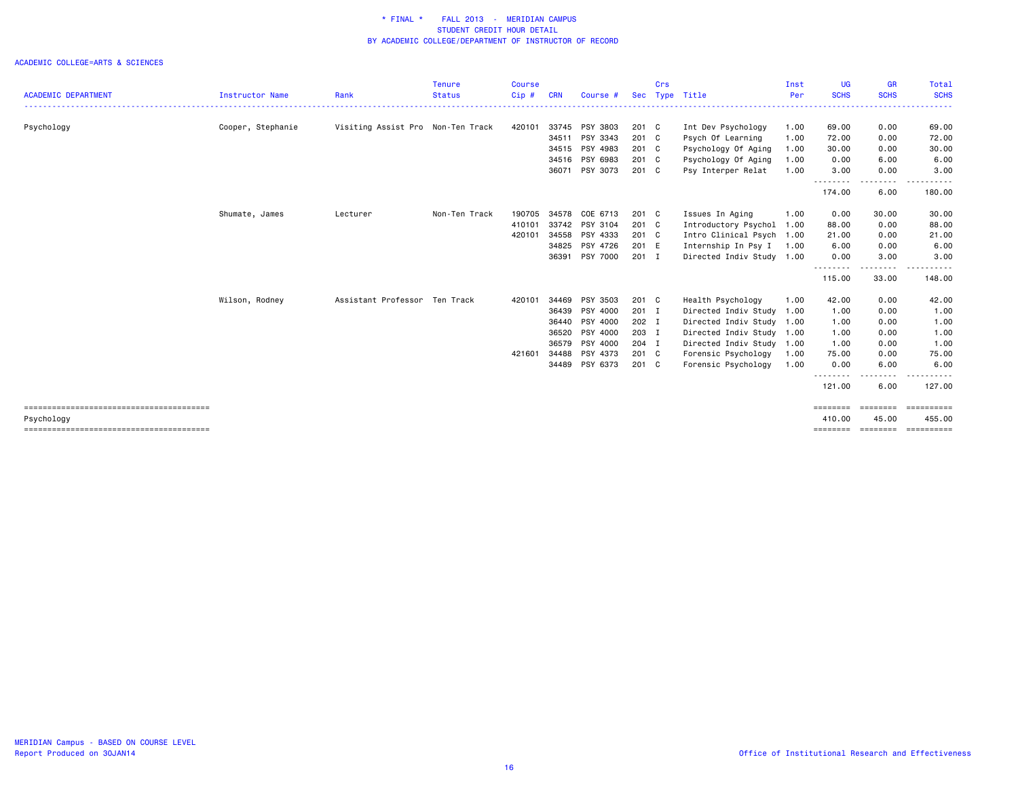|                            |                        |                                   | <b>Tenure</b> | Course |            |          |               | Crs |                           | Inst | <b>UG</b>          | <b>GR</b>                                                                                                                                                                                                                                                                                                                                                                                                                                                                                             | Total                                                                                                                          |
|----------------------------|------------------------|-----------------------------------|---------------|--------|------------|----------|---------------|-----|---------------------------|------|--------------------|-------------------------------------------------------------------------------------------------------------------------------------------------------------------------------------------------------------------------------------------------------------------------------------------------------------------------------------------------------------------------------------------------------------------------------------------------------------------------------------------------------|--------------------------------------------------------------------------------------------------------------------------------|
| <b>ACADEMIC DEPARTMENT</b> | <b>Instructor Name</b> | Rank                              | <b>Status</b> | Cip#   | <b>CRN</b> | Course # | <b>Sec</b>    |     | Type Title                | Per  | <b>SCHS</b>        | <b>SCHS</b><br>$\begin{array}{cccccccccccccc} \multicolumn{2}{c}{} & \multicolumn{2}{c}{} & \multicolumn{2}{c}{} & \multicolumn{2}{c}{} & \multicolumn{2}{c}{} & \multicolumn{2}{c}{} & \multicolumn{2}{c}{} & \multicolumn{2}{c}{} & \multicolumn{2}{c}{} & \multicolumn{2}{c}{} & \multicolumn{2}{c}{} & \multicolumn{2}{c}{} & \multicolumn{2}{c}{} & \multicolumn{2}{c}{} & \multicolumn{2}{c}{} & \multicolumn{2}{c}{} & \multicolumn{2}{c}{} & \multicolumn{2}{c}{} & \multicolumn{2}{c}{} & \$ | <b>SCHS</b><br>$\begin{array}{cccccccccccccc} \bullet & \bullet & \bullet & \bullet & \bullet & \bullet & \bullet \end{array}$ |
| Psychology                 | Cooper, Stephanie      | Visiting Assist Pro Non-Ten Track |               | 420101 | 33745      | PSY 3803 | 201 C         |     | Int Dev Psychology        | 1.00 | 69.00              | 0.00                                                                                                                                                                                                                                                                                                                                                                                                                                                                                                  | 69.00                                                                                                                          |
|                            |                        |                                   |               |        | 34511      | PSY 3343 | 201 C         |     | Psych Of Learning         | 1.00 | 72.00              | 0.00                                                                                                                                                                                                                                                                                                                                                                                                                                                                                                  | 72.00                                                                                                                          |
|                            |                        |                                   |               |        | 34515      | PSY 4983 | 201 C         |     | Psychology Of Aging       | 1.00 | 30.00              | 0.00                                                                                                                                                                                                                                                                                                                                                                                                                                                                                                  | 30.00                                                                                                                          |
|                            |                        |                                   |               |        | 34516      | PSY 6983 | 201 C         |     | Psychology Of Aging       | 1.00 | 0.00               | 6.00                                                                                                                                                                                                                                                                                                                                                                                                                                                                                                  | 6.00                                                                                                                           |
|                            |                        |                                   |               |        | 36071      | PSY 3073 | 201 C         |     | Psy Interper Relat        | 1.00 | 3.00               | 0.00<br>$- - - -$                                                                                                                                                                                                                                                                                                                                                                                                                                                                                     | 3.00                                                                                                                           |
|                            |                        |                                   |               |        |            |          |               |     |                           |      | 174.00             | 6.00                                                                                                                                                                                                                                                                                                                                                                                                                                                                                                  | 180.00                                                                                                                         |
|                            | Shumate, James         | Lecturer                          | Non-Ten Track | 190705 | 34578      | COE 6713 | $201 \quad C$ |     | Issues In Aging           | 1.00 | 0.00               | 30.00                                                                                                                                                                                                                                                                                                                                                                                                                                                                                                 | 30.00                                                                                                                          |
|                            |                        |                                   |               | 410101 | 33742      | PSY 3104 | 201 C         |     | Introductory Psychol      | 1.00 | 88.00              | 0.00                                                                                                                                                                                                                                                                                                                                                                                                                                                                                                  | 88.00                                                                                                                          |
|                            |                        |                                   |               | 420101 | 34558      | PSY 4333 | $201$ C       |     | Intro Clinical Psych 1.00 |      | 21.00              | 0.00                                                                                                                                                                                                                                                                                                                                                                                                                                                                                                  | 21.00                                                                                                                          |
|                            |                        |                                   |               |        | 34825      | PSY 4726 | 201 E         |     | Internship In Psy I       | 1.00 | 6.00               | 0.00                                                                                                                                                                                                                                                                                                                                                                                                                                                                                                  | 6.00                                                                                                                           |
|                            |                        |                                   |               |        | 36391      | PSY 7000 | $201$ I       |     | Directed Indiv Study 1.00 |      | 0.00               | 3.00                                                                                                                                                                                                                                                                                                                                                                                                                                                                                                  | 3.00                                                                                                                           |
|                            |                        |                                   |               |        |            |          |               |     |                           |      | --------<br>115.00 | <u>.</u><br>33.00                                                                                                                                                                                                                                                                                                                                                                                                                                                                                     | .<br>148.00                                                                                                                    |
|                            | Wilson, Rodney         | Assistant Professor Ten Track     |               | 420101 | 34469      | PSY 3503 | 201 C         |     | Health Psychology         | 1.00 | 42.00              | 0.00                                                                                                                                                                                                                                                                                                                                                                                                                                                                                                  | 42.00                                                                                                                          |
|                            |                        |                                   |               |        | 36439      | PSY 4000 | 201 I         |     | Directed Indiv Study 1.00 |      | 1.00               | 0.00                                                                                                                                                                                                                                                                                                                                                                                                                                                                                                  | 1.00                                                                                                                           |
|                            |                        |                                   |               |        | 36440      | PSY 4000 | 202 I         |     | Directed Indiv Study 1.00 |      | 1.00               | 0.00                                                                                                                                                                                                                                                                                                                                                                                                                                                                                                  | 1.00                                                                                                                           |
|                            |                        |                                   |               |        | 36520      | PSY 4000 | 203 I         |     | Directed Indiv Study 1.00 |      | 1.00               | 0.00                                                                                                                                                                                                                                                                                                                                                                                                                                                                                                  | 1.00                                                                                                                           |
|                            |                        |                                   |               |        | 36579      | PSY 4000 | 204 I         |     | Directed Indiv Study 1.00 |      | 1.00               | 0.00                                                                                                                                                                                                                                                                                                                                                                                                                                                                                                  | 1.00                                                                                                                           |
|                            |                        |                                   |               | 421601 | 34488      | PSY 4373 | $201$ C       |     | Forensic Psychology       | 1.00 | 75.00              | 0.00                                                                                                                                                                                                                                                                                                                                                                                                                                                                                                  | 75.00                                                                                                                          |
|                            |                        |                                   |               |        | 34489      | PSY 6373 | 201 C         |     | Forensic Psychology       | 1.00 | 0.00               | 6.00                                                                                                                                                                                                                                                                                                                                                                                                                                                                                                  | 6.00                                                                                                                           |
|                            |                        |                                   |               |        |            |          |               |     |                           |      | --------<br>121.00 | 6.00                                                                                                                                                                                                                                                                                                                                                                                                                                                                                                  | 127.00                                                                                                                         |
|                            |                        |                                   |               |        |            |          |               |     |                           |      | ========           | ========                                                                                                                                                                                                                                                                                                                                                                                                                                                                                              | ==========                                                                                                                     |
| Psychology                 |                        |                                   |               |        |            |          |               |     |                           |      | 410.00             | 45.00                                                                                                                                                                                                                                                                                                                                                                                                                                                                                                 | 455.00                                                                                                                         |
|                            |                        |                                   |               |        |            |          |               |     |                           |      | ========           | ========                                                                                                                                                                                                                                                                                                                                                                                                                                                                                              | <b>ESSESSEES</b>                                                                                                               |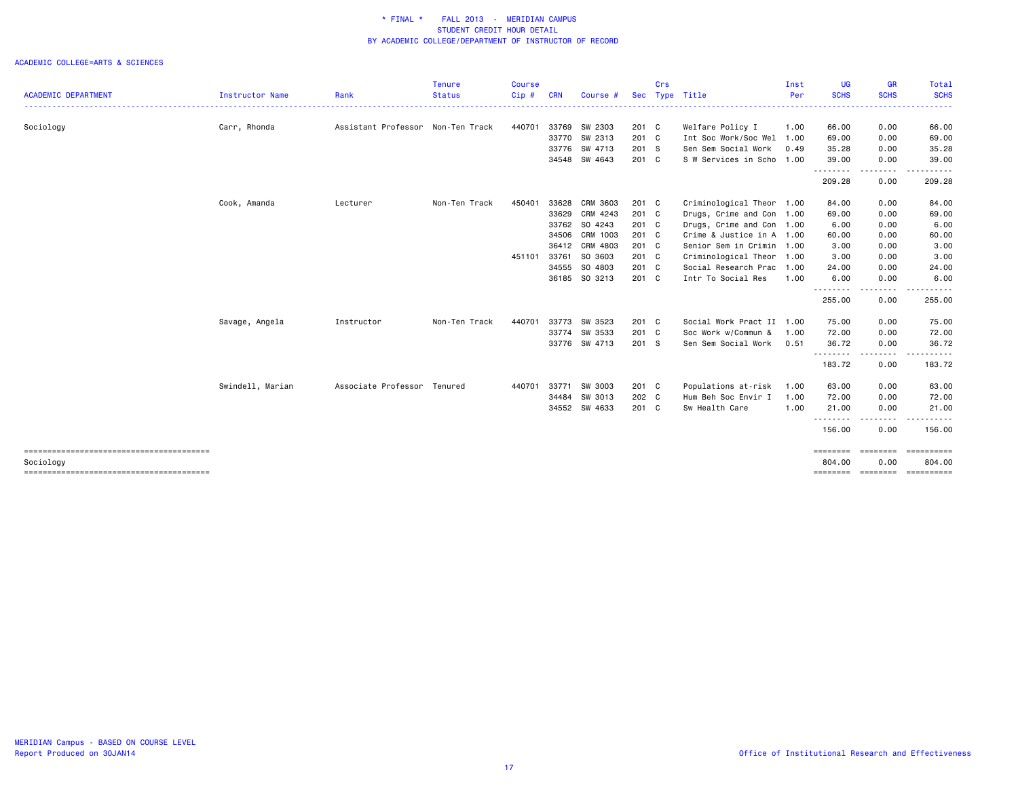|                            |                  |                                   | <b>Tenure</b> | <b>Course</b> |            |                |            | Crs |                           | Inst | <b>UG</b>   | <b>GR</b>                                                                                                                         | Total               |
|----------------------------|------------------|-----------------------------------|---------------|---------------|------------|----------------|------------|-----|---------------------------|------|-------------|-----------------------------------------------------------------------------------------------------------------------------------|---------------------|
| <b>ACADEMIC DEPARTMENT</b> | Instructor Name  | Rank                              | <b>Status</b> | Cip#          | <b>CRN</b> | Course #       | <b>Sec</b> |     | Type Title                | Per  | <b>SCHS</b> | <b>SCHS</b>                                                                                                                       | <b>SCHS</b>         |
| Sociology                  | Carr, Rhonda     | Assistant Professor Non-Ten Track |               | 440701        |            | 33769 SW 2303  | 201 C      |     | Welfare Policy I          | 1.00 | 66.00       | 0.00                                                                                                                              | 66.00               |
|                            |                  |                                   |               |               | 33770      | SW 2313        | 201 C      |     | Int Soc Work/Soc Wel      | 1.00 | 69.00       | 0.00                                                                                                                              | 69.00               |
|                            |                  |                                   |               |               |            | 33776 SW 4713  | 201 S      |     | Sen Sem Social Work       | 0.49 | 35.28       | 0.00                                                                                                                              | 35.28               |
|                            |                  |                                   |               |               |            | 34548 SW 4643  | 201 C      |     | S W Services in Scho      | 1.00 | 39.00       | 0.00                                                                                                                              | 39.00               |
|                            |                  |                                   |               |               |            |                |            |     |                           |      | .<br>209.28 | $\frac{1}{2}$<br>0.00                                                                                                             | 209.28              |
|                            | Cook, Amanda     | Lecturer                          | Non-Ten Track | 450401        | 33628      | CRM 3603       | 201 C      |     | Criminological Theor 1.00 |      | 84.00       | 0.00                                                                                                                              | 84.00               |
|                            |                  |                                   |               |               | 33629      | CRM 4243       | 201 C      |     | Drugs, Crime and Con 1.00 |      | 69.00       | 0.00                                                                                                                              | 69.00               |
|                            |                  |                                   |               |               |            | 33762 SO 4243  | 201 C      |     | Drugs, Crime and Con 1.00 |      | 6.00        | 0.00                                                                                                                              | 6.00                |
|                            |                  |                                   |               |               | 34506      | CRM 1003       | 201 C      |     | Crime & Justice in A 1.00 |      | 60.00       | 0.00                                                                                                                              | 60.00               |
|                            |                  |                                   |               |               |            | 36412 CRM 4803 | 201 C      |     | Senior Sem in Crimin 1.00 |      | 3.00        | 0.00                                                                                                                              | 3.00                |
|                            |                  |                                   |               | 451101        | 33761      | SO 3603        | 201 C      |     | Criminological Theor      | 1.00 | 3.00        | 0.00                                                                                                                              | 3.00                |
|                            |                  |                                   |               |               | 34555      | SO 4803        | 201 C      |     | Social Research Prac      | 1.00 | 24.00       | 0.00                                                                                                                              | 24.00               |
|                            |                  |                                   |               |               |            | 36185 SO 3213  | 201 C      |     | Intr To Social Res        | 1.00 | 6.00<br>.   | 0.00<br>$\frac{1}{2}$                                                                                                             | 6.00                |
|                            |                  |                                   |               |               |            |                |            |     |                           |      | 255.00      | 0.00                                                                                                                              | 255.00              |
|                            | Savage, Angela   | Instructor                        | Non-Ten Track | 440701        | 33773      | SW 3523        | 201 C      |     | Social Work Pract II 1.00 |      | 75.00       | 0.00                                                                                                                              | 75.00               |
|                            |                  |                                   |               |               | 33774      | SW 3533        | 201 C      |     | Soc Work w/Commun &       | 1.00 | 72.00       | 0.00                                                                                                                              | 72.00               |
|                            |                  |                                   |               |               |            | 33776 SW 4713  | 201 S      |     | Sen Sem Social Work       | 0.51 | 36.72<br>.  | 0.00<br>$\frac{1}{2} \left( \frac{1}{2} \right) \left( \frac{1}{2} \right) \left( \frac{1}{2} \right) \left( \frac{1}{2} \right)$ | 36.72               |
|                            |                  |                                   |               |               |            |                |            |     |                           |      | 183.72      | 0.00                                                                                                                              | 183.72              |
|                            | Swindell, Marian | Associate Professor Tenured       |               | 440701        | 33771      | SW 3003        | 201 C      |     | Populations at-risk       | 1.00 | 63.00       | 0.00                                                                                                                              | 63.00               |
|                            |                  |                                   |               |               | 34484      | SW 3013        | 202 C      |     | Hum Beh Soc Envir I       | 1.00 | 72.00       | 0.00                                                                                                                              | 72.00               |
|                            |                  |                                   |               |               | 34552      | SW 4633        | 201 C      |     | Sw Health Care            | 1.00 | 21.00       | 0.00                                                                                                                              | 21.00               |
|                            |                  |                                   |               |               |            |                |            |     |                           |      | .<br>156.00 | .<br>0.00                                                                                                                         | 156.00              |
|                            |                  |                                   |               |               |            |                |            |     |                           |      | ========    | <b>SEESSEES</b>                                                                                                                   | EEEEEEEEE<br>804.00 |
| Sociology                  |                  |                                   |               |               |            |                |            |     |                           |      | 804.00      | 0.00                                                                                                                              | ==========          |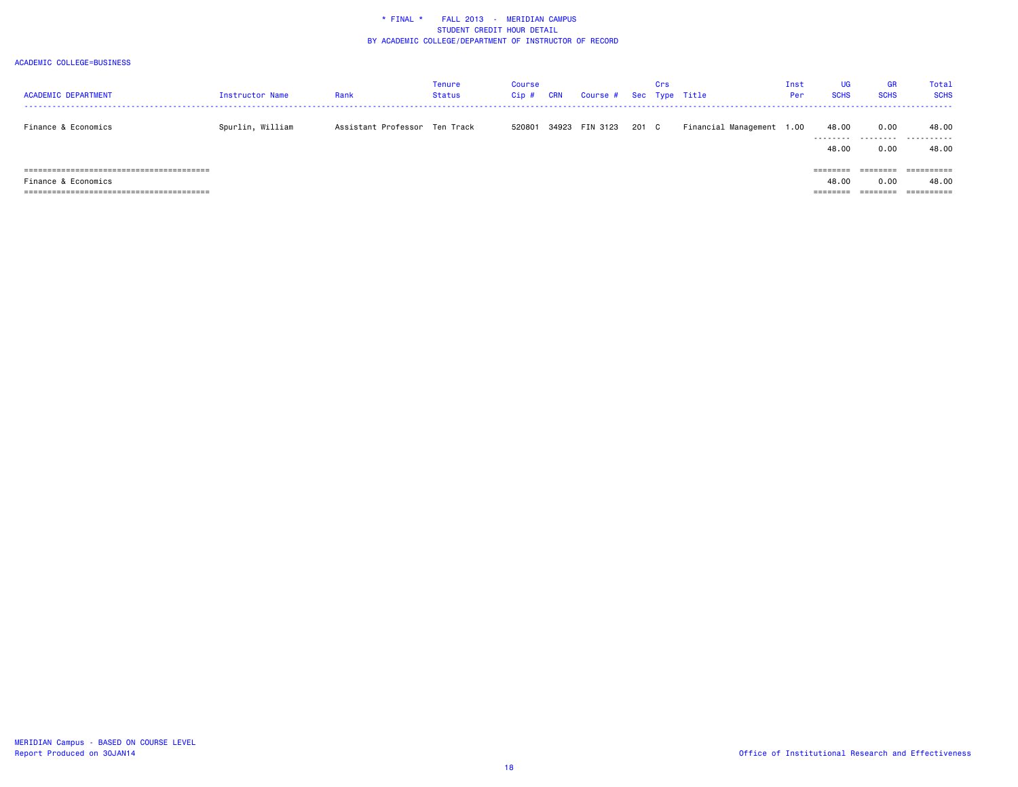| <b>ACADEMIC DEPARTMENT</b> | <b>Instructor Name</b> | Rank                          | <b>Tenure</b><br><b>Status</b> | Course<br>$Cip$ # | CRN | Course # Sec Type Title |       | Crs |                           | Inst<br>Per | <b>UG</b><br><b>SCHS</b> | <b>GR</b><br><b>SCHS</b> | Total<br><b>SCHS</b> |
|----------------------------|------------------------|-------------------------------|--------------------------------|-------------------|-----|-------------------------|-------|-----|---------------------------|-------------|--------------------------|--------------------------|----------------------|
| Finance & Economics        | Spurlin, William       | Assistant Professor Ten Track |                                | 520801            |     | 34923 FIN 3123          | 201 C |     | Financial Management 1.00 |             | 48.00                    | 0.00                     | 48.00<br>            |
|                            |                        |                               |                                |                   |     |                         |       |     |                           |             | 48.00                    | 0.00                     | 48.00                |
|                            |                        |                               |                                |                   |     |                         |       |     |                           |             | ========                 | ========                 | ==========           |
| Finance & Economics        |                        |                               |                                |                   |     |                         |       |     |                           |             | 48.00                    | 0.00                     | 48.00                |
|                            |                        |                               |                                |                   |     |                         |       |     |                           |             | ---------<br>--------    | --------<br>--------     | -----------          |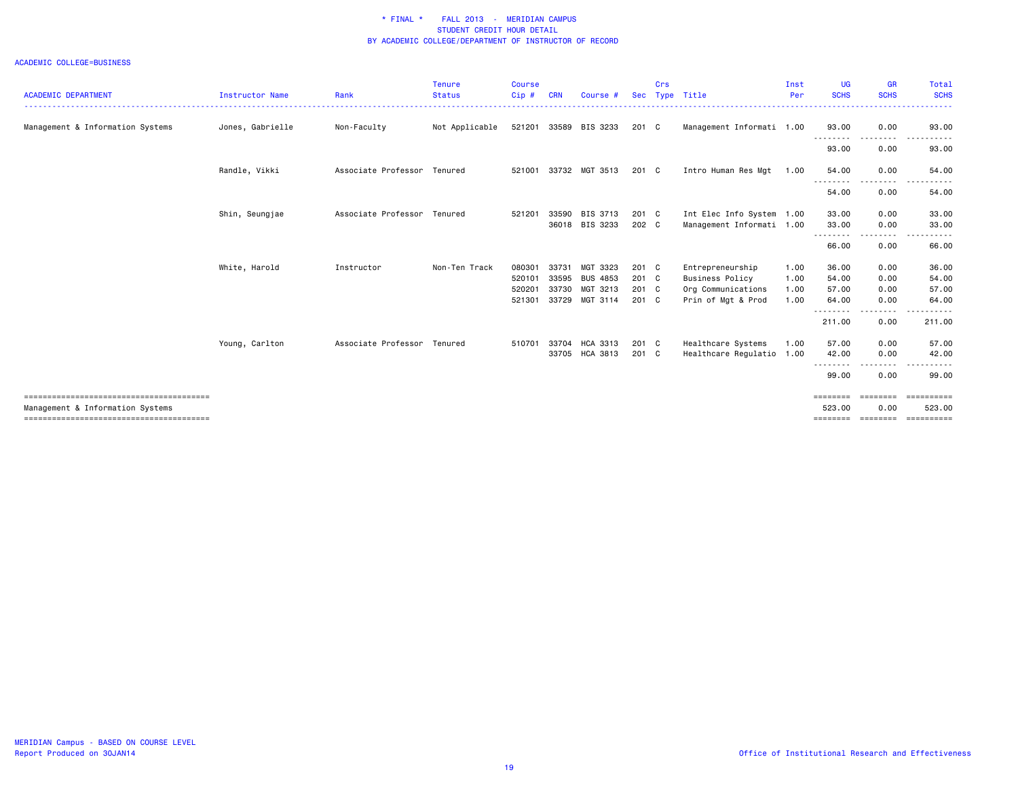|                                  |                        |                             | <b>Tenure</b>  | <b>Course</b> |            |                       |            | Crs |                           | Inst | <b>UG</b>                         | <b>GR</b>         | Total                   |
|----------------------------------|------------------------|-----------------------------|----------------|---------------|------------|-----------------------|------------|-----|---------------------------|------|-----------------------------------|-------------------|-------------------------|
| <b>ACADEMIC DEPARTMENT</b>       | <b>Instructor Name</b> | Rank                        | <b>Status</b>  | Cip#          | <b>CRN</b> | Course #              | <b>Sec</b> |     | Type Title                | Per  | <b>SCHS</b>                       | <b>SCHS</b>       | <b>SCHS</b>             |
| Management & Information Systems | Jones, Gabrielle       | Non-Faculty                 | Not Applicable |               |            | 521201 33589 BIS 3233 | 201 C      |     | Management Informati 1.00 |      | 93.00                             | 0.00              | 93.00                   |
|                                  |                        |                             |                |               |            |                       |            |     |                           |      | .<br>93.00                        | .<br>0.00         | $  -$<br>93.00          |
|                                  | Randle, Vikki          | Associate Professor Tenured |                | 521001        |            | 33732 MGT 3513        | 201 C      |     | Intro Human Res Mgt       | 1.00 | 54.00                             | 0.00              | 54.00                   |
|                                  |                        |                             |                |               |            |                       |            |     |                           |      | - - - - - - - - <b>-</b><br>54.00 | .<br>0.00         | .<br>54.00              |
|                                  | Shin, Seungjae         | Associate Professor         | Tenured        | 521201        | 33590      | BIS 3713              | 201 C      |     | Int Elec Info System 1.00 |      | 33.00                             | 0.00              | 33.00                   |
|                                  |                        |                             |                |               | 36018      | BIS 3233              | 202 C      |     | Management Informati 1.00 |      | 33.00                             | 0.00              | 33.00                   |
|                                  |                        |                             |                |               |            |                       |            |     |                           |      | .<br>66.00                        | .<br>0.00         | 66.00                   |
|                                  | White, Harold          | Instructor                  | Non-Ten Track  | 080301        | 33731      | MGT 3323              | 201 C      |     | Entrepreneurship          | 1.00 | 36.00                             | 0.00              | 36.00                   |
|                                  |                        |                             |                | 520101        | 33595      | <b>BUS 4853</b>       | $201$ C    |     | <b>Business Policy</b>    | 1.00 | 54.00                             | 0.00              | 54.00                   |
|                                  |                        |                             |                | 520201        | 33730      | MGT 3213              | $201$ C    |     | Org Communications        | 1.00 | 57.00                             | 0.00              | 57.00                   |
|                                  |                        |                             |                | 521301        |            | 33729 MGT 3114        | $201$ C    |     | Prin of Mgt & Prod        | 1.00 | 64.00                             | 0.00              | 64.00                   |
|                                  |                        |                             |                |               |            |                       |            |     |                           |      | .<br>211.00                       | 0.00              | 211.00                  |
|                                  | Young, Carlton         | Associate Professor Tenured |                | 510701        | 33704      | HCA 3313              | 201 C      |     | Healthcare Systems        | 1.00 | 57.00                             | 0.00              | 57.00                   |
|                                  |                        |                             |                |               | 33705      | <b>HCA 3813</b>       | 201 C      |     | Healthcare Regulatio 1.00 |      | 42.00                             | 0.00              | 42.00                   |
|                                  |                        |                             |                |               |            |                       |            |     |                           |      | .<br>99.00                        | $- - - -$<br>0.00 | 99.00                   |
|                                  |                        |                             |                |               |            |                       |            |     |                           |      | ========                          | ========          | $=$ = = = = = = = = = = |
| Management & Information Systems |                        |                             |                |               |            |                       |            |     |                           |      | 523.00                            | 0.00              | 523.00                  |
|                                  |                        |                             |                |               |            |                       |            |     |                           |      | ========                          | $=$ = = = = = = = |                         |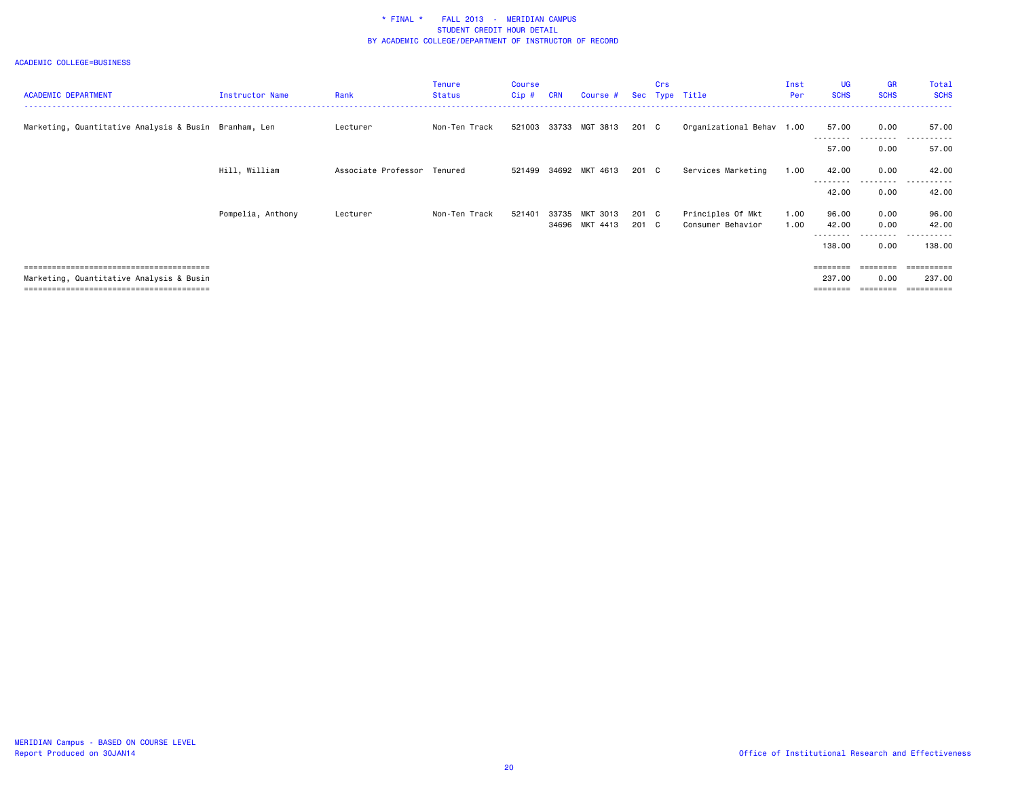| <b>ACADEMIC DEPARTMENT</b>                            | <b>Instructor Name</b> | Rank                        | <b>Tenure</b><br><b>Status</b> | Course<br>$Cip$ # | <b>CRN</b> | Course #              |       | Crs | Sec Type Title            | Inst<br>Per | <b>UG</b><br><b>SCHS</b> | GR<br><b>SCHS</b>       | Total<br><b>SCHS</b> |
|-------------------------------------------------------|------------------------|-----------------------------|--------------------------------|-------------------|------------|-----------------------|-------|-----|---------------------------|-------------|--------------------------|-------------------------|----------------------|
| Marketing, Quantitative Analysis & Busin Branham, Len |                        | Lecturer                    | Non-Ten Track                  | 521003            |            | 33733 MGT 3813        | 201 C |     | Organizational Behav 1.00 |             | 57.00                    | 0.00<br>- - - - - - - - | 57.00                |
|                                                       |                        |                             |                                |                   |            |                       |       |     |                           |             | 57.00                    | 0.00                    | 57.00                |
|                                                       | Hill, William          | Associate Professor Tenured |                                |                   |            | 521499 34692 MKT 4613 | 201 C |     | Services Marketing        | 1.00        | 42.00                    | 0.00                    | 42.00                |
|                                                       |                        |                             |                                |                   |            |                       |       |     |                           |             | 42.00                    | ----<br>0.00            | .<br>42.00           |
|                                                       | Pompelia, Anthony      | Lecturer                    | Non-Ten Track                  | 521401            | 33735      | MKT 3013              | 201 C |     | Principles Of Mkt         | 1.00        | 96.00                    | 0.00                    | 96.00                |
|                                                       |                        |                             |                                |                   |            | 34696 MKT 4413        | 201 C |     | Consumer Behavior         | 1.00        | 42.00                    | 0.00                    | 42.00                |
|                                                       |                        |                             |                                |                   |            |                       |       |     |                           |             | 138.00                   | 0.00                    | 138.00               |
|                                                       |                        |                             |                                |                   |            |                       |       |     |                           |             | ========                 |                         |                      |
| Marketing, Quantitative Analysis & Busin              |                        |                             |                                |                   |            |                       |       |     |                           |             | 237.00                   | 0.00                    | 237.00               |
|                                                       |                        |                             |                                |                   |            |                       |       |     |                           |             |                          |                         | ----------           |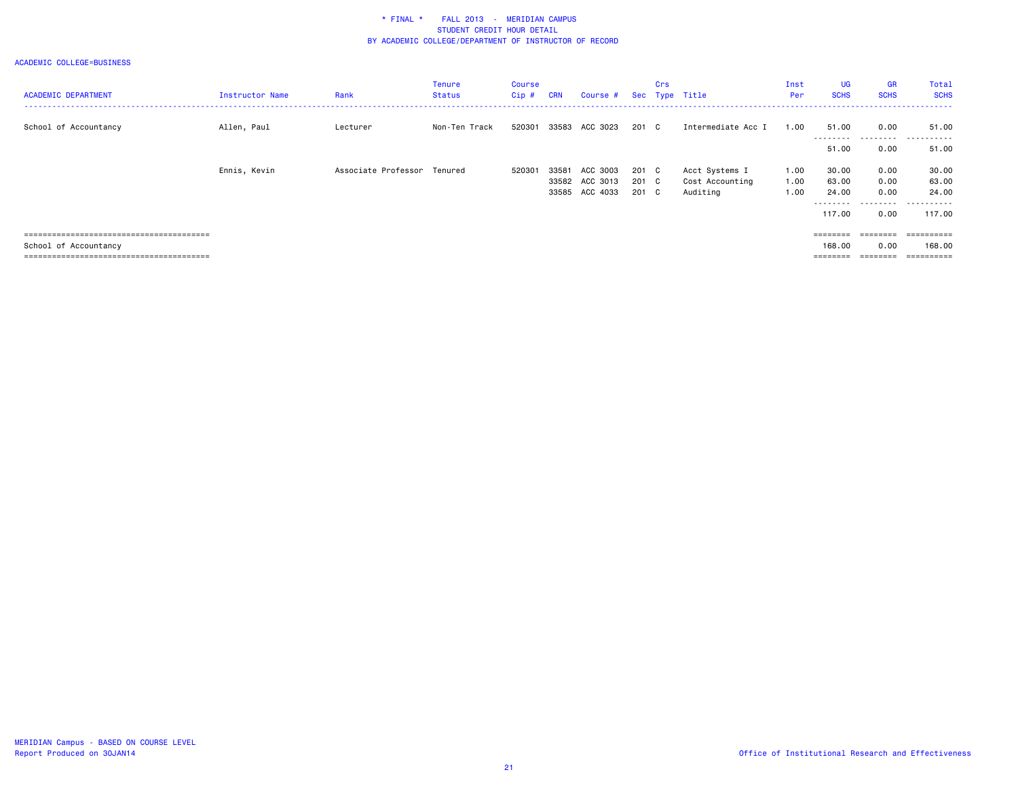| <b>ACADEMIC DEPARTMENT</b> | <b>Instructor Name</b> | Rank                        | <b>Tenure</b><br><b>Status</b> | Course<br>Cip# | <b>CRN</b> | Course #       |       | Crs | Sec Type Title     | Inst<br>Per | <b>UG</b><br><b>SCHS</b> | <b>GR</b><br><b>SCHS</b> | Total<br><b>SCHS</b> |
|----------------------------|------------------------|-----------------------------|--------------------------------|----------------|------------|----------------|-------|-----|--------------------|-------------|--------------------------|--------------------------|----------------------|
| School of Accountancy      | Allen, Paul            | Lecturer                    | Non-Ten Track                  | 520301         | 33583      | ACC 3023       | 201 C |     | Intermediate Acc I | 1.00        | 51.00<br>---------       | 0.00<br>---------        | 51.00<br>.           |
|                            |                        |                             |                                |                |            |                |       |     |                    |             | 51.00                    | 0.00                     | 51.00                |
|                            | Ennis, Kevin           | Associate Professor Tenured |                                | 520301         | 33581      | ACC 3003       | 201 C |     | Acct Systems I     | 1.00        | 30.00                    | 0.00                     | 30.00                |
|                            |                        |                             |                                |                |            | 33582 ACC 3013 | 201 C |     | Cost Accounting    | 1.00        | 63.00                    | 0.00                     | 63.00                |
|                            |                        |                             |                                |                |            | 33585 ACC 4033 | 201 C |     | Auditing           | 1.00        | 24.00                    | 0.00                     | 24.00                |
|                            |                        |                             |                                |                |            |                |       |     |                    |             | ---------<br>117.00      | ---------<br>0.00        | .<br>117.00          |
|                            |                        |                             |                                |                |            |                |       |     |                    |             | ========                 | ========                 | ==========           |
| School of Accountancy      |                        |                             |                                |                |            |                |       |     |                    |             | 168,00                   | 0.00                     | 168,00               |
|                            |                        |                             |                                |                |            |                |       |     |                    |             | ========                 | -------                  |                      |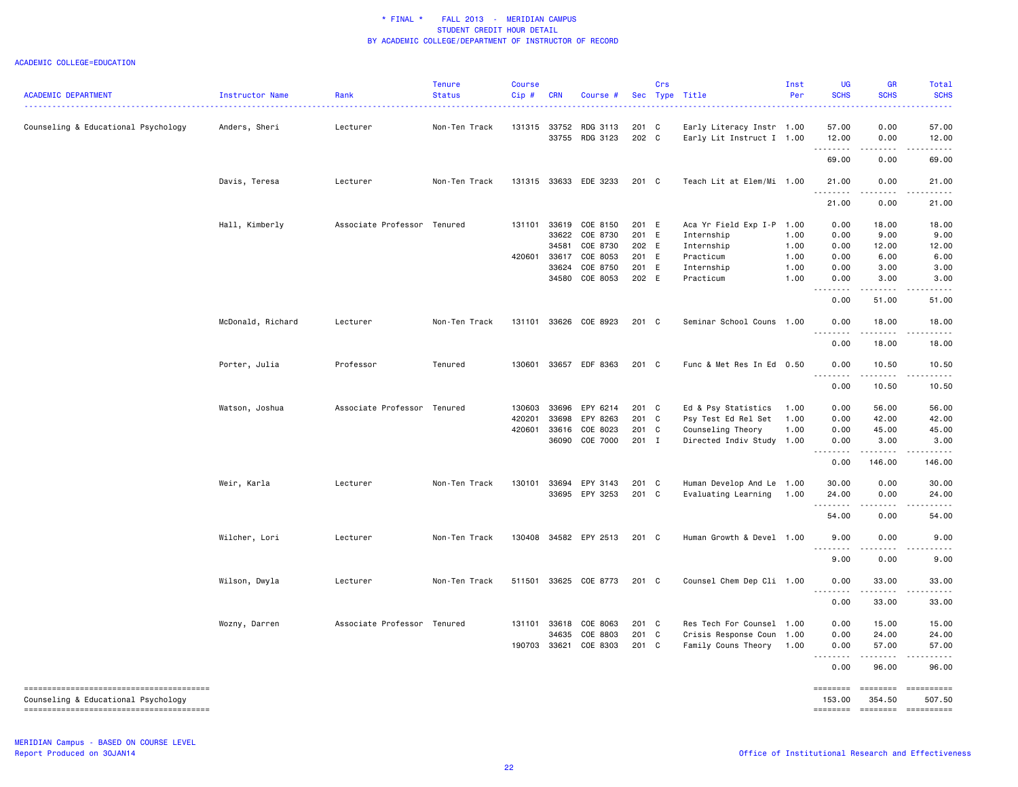|                                     |                   |                             | <b>Tenure</b> | Course |            |                                         |                | Crs |                                                        | Inst | <b>UG</b>      | <b>GR</b>      | Total                        |
|-------------------------------------|-------------------|-----------------------------|---------------|--------|------------|-----------------------------------------|----------------|-----|--------------------------------------------------------|------|----------------|----------------|------------------------------|
| <b>ACADEMIC DEPARTMENT</b>          | Instructor Name   | Rank                        | <b>Status</b> | Cip#   | <b>CRN</b> | Course #                                |                |     | Sec Type Title                                         | Per  | <b>SCHS</b>    | <b>SCHS</b>    | <b>SCHS</b>                  |
|                                     |                   |                             |               |        |            |                                         |                |     |                                                        |      |                |                |                              |
| Counseling & Educational Psychology | Anders, Sheri     | Lecturer                    | Non-Ten Track |        |            | 131315 33752 RDG 3113<br>33755 RDG 3123 | 201 C<br>202 C |     | Early Literacy Instr 1.00<br>Early Lit Instruct I 1.00 |      | 57.00<br>12.00 | 0.00<br>0.00   | 57.00<br>12.00               |
|                                     |                   |                             |               |        |            |                                         |                |     |                                                        |      | <u>.</u>       |                |                              |
|                                     |                   |                             |               |        |            |                                         |                |     |                                                        |      | 69.00          | 0.00           | 69.00                        |
|                                     | Davis, Teresa     | Lecturer                    | Non-Ten Track |        |            | 131315 33633 EDE 3233                   | 201 C          |     | Teach Lit at Elem/Mi 1.00                              |      | 21.00          | 0.00           | 21.00                        |
|                                     |                   |                             |               |        |            |                                         |                |     |                                                        |      | 21.00          | 0.00           | 21.00                        |
|                                     | Hall, Kimberly    | Associate Professor Tenured |               | 131101 |            | 33619 COE 8150                          | 201 E          |     | Aca Yr Field Exp I-P 1.00                              |      | 0.00           | 18.00          | 18.00                        |
|                                     |                   |                             |               |        | 33622      | COE 8730                                | 201 E          |     | Internship                                             | 1.00 | 0.00           | 9.00           | 9.00                         |
|                                     |                   |                             |               |        | 34581      | COE 8730                                | 202 E          |     | Internship                                             | 1.00 | 0.00           | 12.00          | 12.00                        |
|                                     |                   |                             |               | 420601 | 33617      | COE 8053                                | 201 E          |     | Practicum                                              | 1.00 | 0.00           | 6.00           | 6.00                         |
|                                     |                   |                             |               |        | 33624      | COE 8750                                | 201 E          |     | Internship                                             | 1.00 | 0.00           | 3.00           | 3.00                         |
|                                     |                   |                             |               |        |            | 34580 COE 8053                          | 202 E          |     | Practicum                                              | 1.00 | 0.00<br>.      | 3.00           | 3.00                         |
|                                     |                   |                             |               |        |            |                                         |                |     |                                                        |      | 0.00           | 51.00          | 51.00                        |
|                                     | McDonald, Richard | Lecturer                    | Non-Ten Track | 131101 |            | 33626 COE 8923                          | 201 C          |     | Seminar School Couns 1.00                              |      | 0.00           | 18.00          | 18.00                        |
|                                     |                   |                             |               |        |            |                                         |                |     |                                                        |      | .<br>0.00      | .<br>18.00     | 18.00                        |
|                                     | Porter, Julia     | Professor                   | Tenured       | 130601 |            | 33657 EDF 8363                          | 201 C          |     | Func & Met Res In Ed 0.50                              |      | 0.00           | 10.50          | 10.50                        |
|                                     |                   |                             |               |        |            |                                         |                |     |                                                        |      | 0.00           | -----<br>10.50 | 10.50                        |
|                                     | Watson, Joshua    | Associate Professor Tenured |               | 130603 | 33696      | EPY 6214                                | 201 C          |     | Ed & Psy Statistics                                    | 1.00 | 0.00           | 56.00          | 56.00                        |
|                                     |                   |                             |               | 420201 | 33698      | EPY 8263                                | 201 C          |     | Psy Test Ed Rel Set                                    | 1.00 | 0.00           | 42.00          | 42.00                        |
|                                     |                   |                             |               | 420601 |            | 33616 COE 8023                          | 201 C          |     | Counseling Theory                                      | 1.00 | 0.00           | 45.00          | 45.00                        |
|                                     |                   |                             |               |        |            | 36090 COE 7000                          | 201 I          |     | Directed Indiv Study 1.00                              |      | 0.00           | 3.00           | 3.00                         |
|                                     |                   |                             |               |        |            |                                         |                |     |                                                        |      | .<br>0.00      | .<br>146.00    | 146.00                       |
|                                     | Weir, Karla       | Lecturer                    | Non-Ten Track | 130101 |            | 33694 EPY 3143                          | 201 C          |     | Human Develop And Le 1.00                              |      | 30.00          | 0.00           | 30.00                        |
|                                     |                   |                             |               |        |            | 33695 EPY 3253                          | 201 C          |     | Evaluating Learning                                    | 1.00 | 24.00          | 0.00           | 24.00                        |
|                                     |                   |                             |               |        |            |                                         |                |     |                                                        |      | <u>.</u>       | .              |                              |
|                                     |                   |                             |               |        |            |                                         |                |     |                                                        |      | 54.00          | 0.00           | 54.00                        |
|                                     | Wilcher, Lori     | Lecturer                    | Non-Ten Track |        |            | 130408 34582 EPY 2513                   | 201 C          |     | Human Growth & Devel 1.00                              |      | 9.00           | 0.00<br>.      | 9.00                         |
|                                     |                   |                             |               |        |            |                                         |                |     |                                                        |      | 9.00           | 0.00           | 9.00                         |
|                                     | Wilson, Dwyla     | Lecturer                    | Non-Ten Track |        |            | 511501 33625 COE 8773                   | 201 C          |     | Counsel Chem Dep Cli 1.00                              |      | 0.00<br>.      | 33.00          | 33.00                        |
|                                     |                   |                             |               |        |            |                                         |                |     |                                                        |      | 0.00           | .<br>33.00     | .<br>33.00                   |
|                                     | Wozny, Darren     | Associate Professor Tenured |               |        |            | 131101 33618 COE 8063                   | 201 C          |     | Res Tech For Counsel 1.00                              |      | 0.00           | 15.00          | 15.00                        |
|                                     |                   |                             |               |        | 34635      | COE 8803                                | 201            | C   | Crisis Response Coun 1.00                              |      | 0.00           | 24.00          | 24.00                        |
|                                     |                   |                             |               | 190703 | 33621      | COE 8303                                | 201 C          |     | Family Couns Theory                                    | 1.00 | 0.00<br>.      | 57.00          | 57.00                        |
|                                     |                   |                             |               |        |            |                                         |                |     |                                                        |      | 0.00           | 96.00          | 96.00                        |
|                                     |                   |                             |               |        |            |                                         |                |     |                                                        |      |                |                |                              |
| Counseling & Educational Psychology |                   |                             |               |        |            |                                         |                |     |                                                        |      | 153.00         | 354.50         | 507.50                       |
|                                     |                   |                             |               |        |            |                                         |                |     |                                                        |      |                |                | ======== ======== ========== |
|                                     |                   |                             |               |        |            |                                         |                |     |                                                        |      |                |                |                              |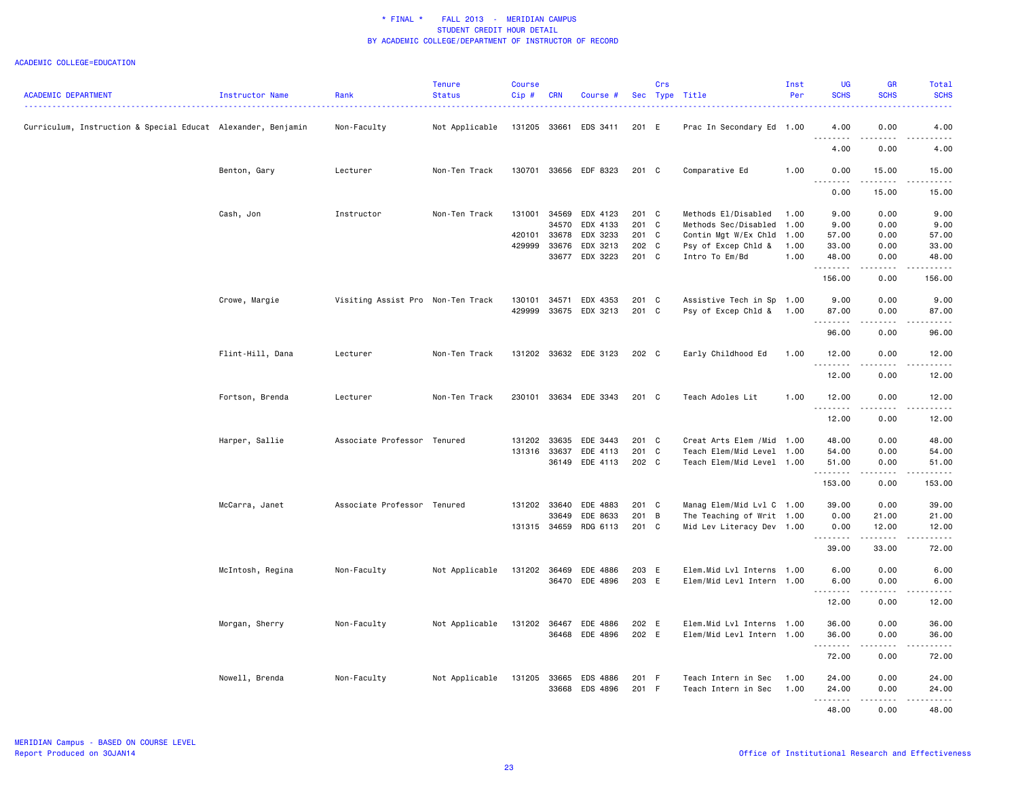|                                                              |                        |                                   | <b>Tenure</b>  | Course       |              |                       |            | Crs |                            | Inst | <b>UG</b>                                                                                                                                                                                                                                                                                                                                                                                                                                                                                       | GR                          | Total                                                                                                                                                        |
|--------------------------------------------------------------|------------------------|-----------------------------------|----------------|--------------|--------------|-----------------------|------------|-----|----------------------------|------|-------------------------------------------------------------------------------------------------------------------------------------------------------------------------------------------------------------------------------------------------------------------------------------------------------------------------------------------------------------------------------------------------------------------------------------------------------------------------------------------------|-----------------------------|--------------------------------------------------------------------------------------------------------------------------------------------------------------|
| <b>ACADEMIC DEPARTMENT</b>                                   | <b>Instructor Name</b> | Rank                              | <b>Status</b>  | $Cip$ #      | <b>CRN</b>   | Course #              | <b>Sec</b> |     | Type Title                 | Per  | <b>SCHS</b>                                                                                                                                                                                                                                                                                                                                                                                                                                                                                     | <b>SCHS</b>                 | <b>SCHS</b>                                                                                                                                                  |
|                                                              |                        |                                   |                |              |              |                       |            |     |                            |      |                                                                                                                                                                                                                                                                                                                                                                                                                                                                                                 |                             |                                                                                                                                                              |
| Curriculum, Instruction & Special Educat Alexander, Benjamin |                        | Non-Faculty                       | Not Applicable | 131205 33661 |              | EDS 3411              | 201 E      |     | Prac In Secondary Ed 1.00  |      | 4.00<br>.                                                                                                                                                                                                                                                                                                                                                                                                                                                                                       | 0.00<br>$\frac{1}{2}$       | 4.00<br>$\frac{1}{2} \left( \frac{1}{2} \right) \left( \frac{1}{2} \right) \left( \frac{1}{2} \right) \left( \frac{1}{2} \right) \left( \frac{1}{2} \right)$ |
|                                                              |                        |                                   |                |              |              |                       |            |     |                            |      | 4.00                                                                                                                                                                                                                                                                                                                                                                                                                                                                                            | 0.00                        | 4.00                                                                                                                                                         |
|                                                              | Benton, Gary           | Lecturer                          | Non-Ten Track  | 130701       |              | 33656 EDF 8323        | 201 C      |     | Comparative Ed             | 1.00 | 0.00                                                                                                                                                                                                                                                                                                                                                                                                                                                                                            | 15.00                       | 15.00                                                                                                                                                        |
|                                                              |                        |                                   |                |              |              |                       |            |     |                            |      | $\sim$ $\sim$<br>.<br>0.00                                                                                                                                                                                                                                                                                                                                                                                                                                                                      | -----<br>15.00              | $\frac{1}{2}$<br>15.00                                                                                                                                       |
|                                                              | Cash, Jon              | Instructor                        | Non-Ten Track  | 131001       | 34569        | EDX 4123              | 201 C      |     | Methods El/Disabled        | 1.00 | 9.00                                                                                                                                                                                                                                                                                                                                                                                                                                                                                            | 0.00                        | 9.00                                                                                                                                                         |
|                                                              |                        |                                   |                |              | 34570        | EDX 4133              | $201$ C    |     | Methods Sec/Disabled 1.00  |      | 9.00                                                                                                                                                                                                                                                                                                                                                                                                                                                                                            | 0.00                        | 9.00                                                                                                                                                         |
|                                                              |                        |                                   |                | 420101       | 33678        | EDX 3233              | 201 C      |     | Contin Mgt W/Ex Chld 1.00  |      | 57.00                                                                                                                                                                                                                                                                                                                                                                                                                                                                                           | 0.00                        | 57.00                                                                                                                                                        |
|                                                              |                        |                                   |                | 429999       | 33676        | EDX 3213              | 202 C      |     | Psy of Excep Chld &        | 1.00 | 33.00                                                                                                                                                                                                                                                                                                                                                                                                                                                                                           | 0.00                        | 33.00                                                                                                                                                        |
|                                                              |                        |                                   |                |              | 33677        | EDX 3223              | 201 C      |     | Intro To Em/Bd             | 1.00 | 48.00                                                                                                                                                                                                                                                                                                                                                                                                                                                                                           | 0.00                        | 48.00                                                                                                                                                        |
|                                                              |                        |                                   |                |              |              |                       |            |     |                            |      | <u>.</u><br>156.00                                                                                                                                                                                                                                                                                                                                                                                                                                                                              | 0.00                        | .<br>156.00                                                                                                                                                  |
|                                                              |                        |                                   |                |              |              |                       |            |     |                            |      |                                                                                                                                                                                                                                                                                                                                                                                                                                                                                                 |                             |                                                                                                                                                              |
|                                                              | Crowe, Margie          | Visiting Assist Pro Non-Ten Track |                | 130101       | 34571        | EDX 4353              | 201 C      |     | Assistive Tech in Sp 1.00  |      | 9.00                                                                                                                                                                                                                                                                                                                                                                                                                                                                                            | 0.00                        | 9.00                                                                                                                                                         |
|                                                              |                        |                                   |                | 429999       |              | 33675 EDX 3213        | 201 C      |     | Psy of Excep Chld &        | 1.00 | 87.00                                                                                                                                                                                                                                                                                                                                                                                                                                                                                           | 0.00                        | 87.00                                                                                                                                                        |
|                                                              |                        |                                   |                |              |              |                       |            |     |                            |      | .                                                                                                                                                                                                                                                                                                                                                                                                                                                                                               | .                           | .                                                                                                                                                            |
|                                                              |                        |                                   |                |              |              |                       |            |     |                            |      | 96.00                                                                                                                                                                                                                                                                                                                                                                                                                                                                                           | 0.00                        | 96.00                                                                                                                                                        |
|                                                              | Flint-Hill, Dana       | Lecturer                          | Non-Ten Track  |              |              | 131202 33632 EDE 3123 | 202 C      |     | Early Childhood Ed         | 1.00 | 12.00                                                                                                                                                                                                                                                                                                                                                                                                                                                                                           | 0.00                        | 12.00                                                                                                                                                        |
|                                                              |                        |                                   |                |              |              |                       |            |     |                            |      | 12.00                                                                                                                                                                                                                                                                                                                                                                                                                                                                                           | .<br>0.00                   | $\frac{1}{2} \left( \frac{1}{2} \right) \left( \frac{1}{2} \right) \left( \frac{1}{2} \right) \left( \frac{1}{2} \right)$<br>12.00                           |
|                                                              | Fortson, Brenda        | Lecturer                          | Non-Ten Track  | 230101       |              | 33634 EDE 3343        | $201$ C    |     | Teach Adoles Lit           | 1.00 | 12.00                                                                                                                                                                                                                                                                                                                                                                                                                                                                                           | 0.00                        | 12.00                                                                                                                                                        |
|                                                              |                        |                                   |                |              |              |                       |            |     |                            |      | $\frac{1}{2} \left( \frac{1}{2} \right) \left( \frac{1}{2} \right) \left( \frac{1}{2} \right) \left( \frac{1}{2} \right) \left( \frac{1}{2} \right)$                                                                                                                                                                                                                                                                                                                                            | $\sim$ $\sim$ $\sim$ $\sim$ | .                                                                                                                                                            |
|                                                              |                        |                                   |                |              |              |                       |            |     |                            |      | 12.00                                                                                                                                                                                                                                                                                                                                                                                                                                                                                           | 0.00                        | 12.00                                                                                                                                                        |
|                                                              | Harper, Sallie         | Associate Professor Tenured       |                | 131202       | 33635        | EDE 3443              | 201 C      |     | Creat Arts Elem / Mid 1.00 |      | 48.00                                                                                                                                                                                                                                                                                                                                                                                                                                                                                           | 0.00                        | 48.00                                                                                                                                                        |
|                                                              |                        |                                   |                |              | 131316 33637 | EDE 4113              | 201 C      |     | Teach Elem/Mid Level 1.00  |      | 54.00                                                                                                                                                                                                                                                                                                                                                                                                                                                                                           | 0.00                        | 54.00                                                                                                                                                        |
|                                                              |                        |                                   |                |              | 36149        | EDE 4113              | 202 C      |     | Teach Elem/Mid Level 1.00  |      | 51.00                                                                                                                                                                                                                                                                                                                                                                                                                                                                                           | 0.00                        | 51.00                                                                                                                                                        |
|                                                              |                        |                                   |                |              |              |                       |            |     |                            |      | .<br>153.00                                                                                                                                                                                                                                                                                                                                                                                                                                                                                     | .<br>0.00                   | .<br>153.00                                                                                                                                                  |
|                                                              | McCarra, Janet         | Associate Professor Tenured       |                |              | 131202 33640 | EDE 4883              | 201 C      |     | Manag Elem/Mid Lvl C 1.00  |      | 39.00                                                                                                                                                                                                                                                                                                                                                                                                                                                                                           | 0.00                        | 39.00                                                                                                                                                        |
|                                                              |                        |                                   |                |              | 33649        | EDE 8633              | 201 B      |     | The Teaching of Writ 1.00  |      | 0.00                                                                                                                                                                                                                                                                                                                                                                                                                                                                                            | 21.00                       | 21.00                                                                                                                                                        |
|                                                              |                        |                                   |                |              | 131315 34659 | RDG 6113              | 201 C      |     | Mid Lev Literacy Dev 1.00  |      | 0.00                                                                                                                                                                                                                                                                                                                                                                                                                                                                                            | 12.00                       | 12.00                                                                                                                                                        |
|                                                              |                        |                                   |                |              |              |                       |            |     |                            |      | <u>.</u>                                                                                                                                                                                                                                                                                                                                                                                                                                                                                        | د د د د د                   | .                                                                                                                                                            |
|                                                              |                        |                                   |                |              |              |                       |            |     |                            |      | 39.00                                                                                                                                                                                                                                                                                                                                                                                                                                                                                           | 33.00                       | 72.00                                                                                                                                                        |
|                                                              | McIntosh, Regina       | Non-Faculty                       | Not Applicable | 131202 36469 |              | EDE 4886              | 203 E      |     | Elem.Mid Lvl Interns 1.00  |      | 6.00                                                                                                                                                                                                                                                                                                                                                                                                                                                                                            | 0.00                        | 6.00                                                                                                                                                         |
|                                                              |                        |                                   |                |              |              | 36470 EDE 4896        | 203 E      |     | Elem/Mid Levl Intern 1.00  |      | 6.00                                                                                                                                                                                                                                                                                                                                                                                                                                                                                            | 0.00                        | 6.00                                                                                                                                                         |
|                                                              |                        |                                   |                |              |              |                       |            |     |                            |      | -----<br>$  -$                                                                                                                                                                                                                                                                                                                                                                                                                                                                                  | .                           | $\frac{1}{2}$                                                                                                                                                |
|                                                              |                        |                                   |                |              |              |                       |            |     |                            |      | 12.00                                                                                                                                                                                                                                                                                                                                                                                                                                                                                           | 0.00                        | 12.00                                                                                                                                                        |
|                                                              | Morgan, Sherry         | Non-Faculty                       | Not Applicable | 131202       | 36467        | EDE 4886              | 202 E      |     | Elem.Mid Lvl Interns 1.00  |      | 36.00                                                                                                                                                                                                                                                                                                                                                                                                                                                                                           | 0.00                        | 36.00                                                                                                                                                        |
|                                                              |                        |                                   |                |              | 36468        | EDE 4896              | 202 E      |     | Elem/Mid Levl Intern 1.00  |      | 36.00                                                                                                                                                                                                                                                                                                                                                                                                                                                                                           | 0.00                        | 36.00                                                                                                                                                        |
|                                                              |                        |                                   |                |              |              |                       |            |     |                            |      | $\begin{array}{cccccccccccccc} \multicolumn{2}{c}{} & \multicolumn{2}{c}{} & \multicolumn{2}{c}{} & \multicolumn{2}{c}{} & \multicolumn{2}{c}{} & \multicolumn{2}{c}{} & \multicolumn{2}{c}{} & \multicolumn{2}{c}{} & \multicolumn{2}{c}{} & \multicolumn{2}{c}{} & \multicolumn{2}{c}{} & \multicolumn{2}{c}{} & \multicolumn{2}{c}{} & \multicolumn{2}{c}{} & \multicolumn{2}{c}{} & \multicolumn{2}{c}{} & \multicolumn{2}{c}{} & \multicolumn{2}{c}{} & \multicolumn{2}{c}{} & \$<br>72.00 | .<br>0.00                   | .<br>72.00                                                                                                                                                   |
|                                                              |                        |                                   |                |              |              |                       |            |     |                            |      |                                                                                                                                                                                                                                                                                                                                                                                                                                                                                                 |                             |                                                                                                                                                              |
|                                                              | Nowell, Brenda         | Non-Faculty                       | Not Applicable | 131205       | 33665        | EDS 4886              | 201 F      |     | Teach Intern in Sec        | 1.00 | 24.00                                                                                                                                                                                                                                                                                                                                                                                                                                                                                           | 0.00                        | 24.00                                                                                                                                                        |
|                                                              |                        |                                   |                |              | 33668        | EDS 4896              | 201 F      |     | Teach Intern in Sec        | 1.00 | 24.00                                                                                                                                                                                                                                                                                                                                                                                                                                                                                           | 0.00                        | 24.00                                                                                                                                                        |
|                                                              |                        |                                   |                |              |              |                       |            |     |                            |      | .<br>48.00                                                                                                                                                                                                                                                                                                                                                                                                                                                                                      | .<br>0.00                   | .<br>48.00                                                                                                                                                   |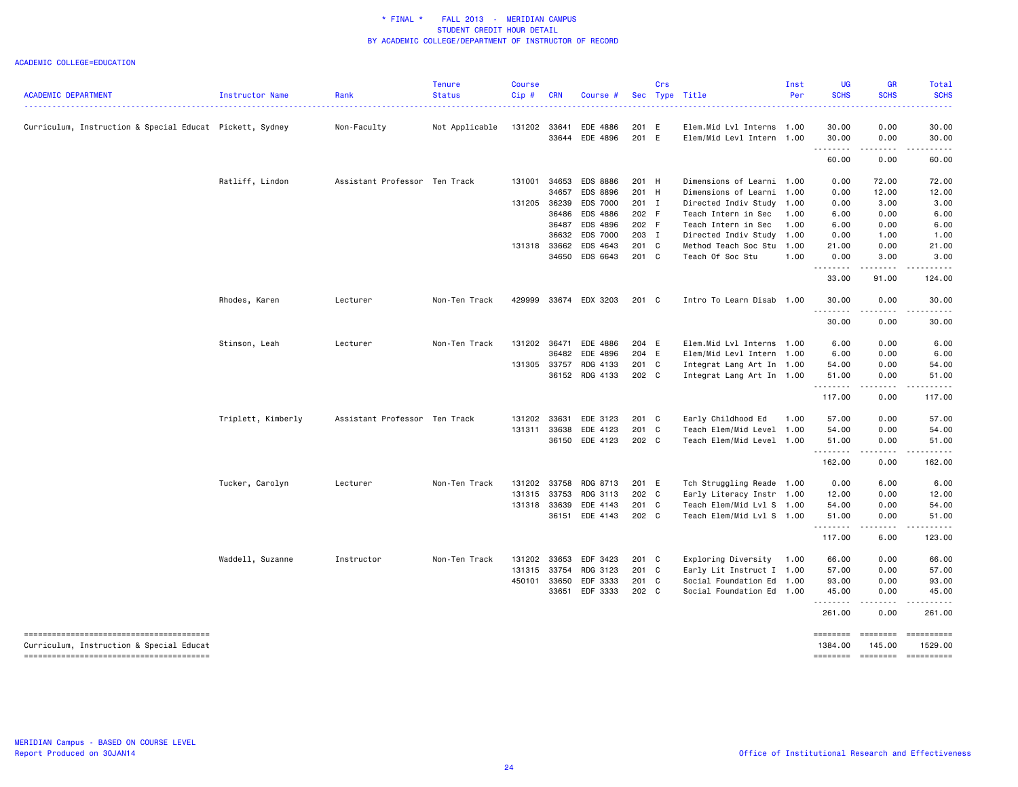|                                                          |                    |                               | <b>Tenure</b>  | Course  |            |                       |       | Crs      |                           | Inst | UG                 | <b>GR</b>           | Total       |
|----------------------------------------------------------|--------------------|-------------------------------|----------------|---------|------------|-----------------------|-------|----------|---------------------------|------|--------------------|---------------------|-------------|
| <b>ACADEMIC DEPARTMENT</b>                               | Instructor Name    | Rank                          | <b>Status</b>  | $Cip$ # | <b>CRN</b> | Course #              |       | Sec Type | Title                     | Per  | <b>SCHS</b>        | <b>SCHS</b>         | <b>SCHS</b> |
| Curriculum, Instruction & Special Educat Pickett, Sydney |                    | Non-Faculty                   | Not Applicable | 131202  | 33641      | EDE 4886              | 201 E |          | Elem.Mid Lvl Interns 1.00 |      | 30.00              | 0.00                | 30.00       |
|                                                          |                    |                               |                |         | 33644      | EDE 4896              | 201 E |          | Elem/Mid Levl Intern 1.00 |      | 30.00              | 0.00                | 30.00       |
|                                                          |                    |                               |                |         |            |                       |       |          |                           |      | .<br>60.00         | .<br>0.00           | .<br>60.00  |
|                                                          | Ratliff, Lindon    | Assistant Professor Ten Track |                | 131001  | 34653      | <b>EDS 8886</b>       | 201 H |          | Dimensions of Learni 1.00 |      | 0.00               | 72.00               | 72.00       |
|                                                          |                    |                               |                |         | 34657      | EDS 8896              | 201 H |          | Dimensions of Learni 1.00 |      | 0.00               | 12.00               | 12.00       |
|                                                          |                    |                               |                | 131205  | 36239      | <b>EDS 7000</b>       | 201 I |          | Directed Indiv Study      | 1.00 | 0.00               | 3.00                | 3.00        |
|                                                          |                    |                               |                |         | 36486      | EDS 4886              | 202 F |          | Teach Intern in Sec       | 1.00 | 6.00               | 0.00                | 6.00        |
|                                                          |                    |                               |                |         |            | 36487 EDS 4896        | 202 F |          | Teach Intern in Sec       | 1.00 | 6.00               | 0.00                | 6.00        |
|                                                          |                    |                               |                |         |            | 36632 EDS 7000        | 203 I |          | Directed Indiv Study 1.00 |      | 0.00               | 1.00                | 1.00        |
|                                                          |                    |                               |                | 131318  |            | 33662 EDS 4643        | 201 C |          | Method Teach Soc Stu 1.00 |      | 21.00              | 0.00                | 21.00       |
|                                                          |                    |                               |                |         |            | 34650 EDS 6643        | 201 C |          | Teach Of Soc Stu          | 1.00 | 0.00<br>. <b>.</b> | 3.00                | 3.00        |
|                                                          |                    |                               |                |         |            |                       |       |          |                           |      | 33.00              | 91.00               | 124.00      |
|                                                          | Rhodes, Karen      | Lecturer                      | Non-Ten Track  | 429999  |            | 33674 EDX 3203        | 201 C |          | Intro To Learn Disab 1.00 |      | 30.00<br><u>.</u>  | 0.00<br>.           | 30.00<br>.  |
|                                                          |                    |                               |                |         |            |                       |       |          |                           |      | 30.00              | 0.00                | 30.00       |
|                                                          | Stinson, Leah      | Lecturer                      | Non-Ten Track  |         |            | 131202 36471 EDE 4886 | 204 E |          | Elem.Mid Lvl Interns 1.00 |      | 6.00               | 0.00                | 6.00        |
|                                                          |                    |                               |                |         | 36482      | EDE 4896              | 204 E |          | Elem/Mid Levl Intern 1.00 |      | 6.00               | 0.00                | 6.00        |
|                                                          |                    |                               |                |         |            | 131305 33757 RDG 4133 | 201 C |          | Integrat Lang Art In 1.00 |      | 54.00              | 0.00                | 54.00       |
|                                                          |                    |                               |                |         |            | 36152 RDG 4133        | 202 C |          | Integrat Lang Art In 1.00 |      | 51.00<br><u>.</u>  | 0.00<br>.           | 51.00       |
|                                                          |                    |                               |                |         |            |                       |       |          |                           |      | 117.00             | 0.00                | 117.00      |
|                                                          | Triplett, Kimberly | Assistant Professor Ten Track |                | 131202  | 33631      | EDE 3123              | 201 C |          | Early Childhood Ed        | 1.00 | 57.00              | 0.00                | 57.00       |
|                                                          |                    |                               |                |         |            | 131311 33638 EDE 4123 | 201 C |          | Teach Elem/Mid Level 1.00 |      | 54.00              | 0.00                | 54.00       |
|                                                          |                    |                               |                |         |            | 36150 EDE 4123        | 202 C |          | Teach Elem/Mid Level 1.00 |      | 51.00              | 0.00<br>$- - - - -$ | 51.00       |
|                                                          |                    |                               |                |         |            |                       |       |          |                           |      | .<br>162.00        | 0.00                | 162.00      |
|                                                          | Tucker, Carolyn    | Lecturer                      | Non-Ten Track  | 131202  |            | 33758 RDG 8713        | 201 E |          | Tch Struggling Reade 1.00 |      | 0.00               | 6.00                | 6.00        |
|                                                          |                    |                               |                | 131315  | 33753      | RDG 3113              | 202 C |          | Early Literacy Instr 1.00 |      | 12.00              | 0.00                | 12.00       |
|                                                          |                    |                               |                | 131318  | 33639      | EDE 4143              | 201 C |          | Teach Elem/Mid Lvl S 1.00 |      | 54.00              | 0.00                | 54.00       |
|                                                          |                    |                               |                |         |            | 36151 EDE 4143        | 202 C |          | Teach Elem/Mid Lvl S 1.00 |      | 51.00<br><u>.</u>  | 0.00<br>.           | 51.00<br>.  |
|                                                          |                    |                               |                |         |            |                       |       |          |                           |      | 117.00             | 6.00                | 123.00      |
|                                                          | Waddell, Suzanne   | Instructor                    | Non-Ten Track  | 131202  |            | 33653 EDF 3423        | 201 C |          | Exploring Diversity 1.00  |      | 66.00              | 0.00                | 66.00       |
|                                                          |                    |                               |                | 131315  | 33754      | RDG 3123              | 201 C |          | Early Lit Instruct I 1.00 |      | 57.00              | 0.00                | 57.00       |
|                                                          |                    |                               |                | 450101  |            | 33650 EDF 3333        | 201 C |          | Social Foundation Ed 1.00 |      | 93.00              | 0.00                | 93.00       |
|                                                          |                    |                               |                |         | 33651      | EDF 3333              | 202 C |          | Social Foundation Ed 1.00 |      | 45.00              | 0.00                | 45.00       |
|                                                          |                    |                               |                |         |            |                       |       |          |                           |      | 261.00             | 0.00                | 261.00      |
|                                                          |                    |                               |                |         |            |                       |       |          |                           |      | ========           | ========            | ==========  |
| Curriculum, Instruction & Special Educat                 |                    |                               |                |         |            |                       |       |          |                           |      | 1384.00            | 145.00              | 1529.00     |
|                                                          |                    |                               |                |         |            |                       |       |          |                           |      | ========           | $= 10000000000$     | ==========  |